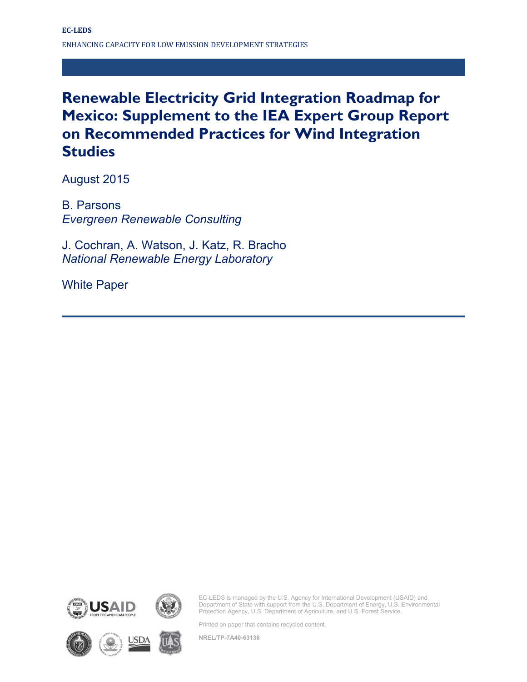# **Renewable Electricity Grid Integration Roadmap for Mexico: Supplement to the IEA Expert Group Report on Recommended Practices for Wind Integration Studies**

August 2015

B. Parsons *Evergreen Renewable Consulting*

J. Cochran, A. Watson, J. Katz, R. Bracho *National Renewable Energy Laboratory*

White Paper







EC-LEDS is managed by the U.S. Agency for International Development (USAID) and Department of State with support from the U.S. Department of Energy, U.S. Environmental Protection Agency, U.S. Department of Agriculture, and U.S. Forest Service.

Printed on paper that contains recycled content.

**NREL/TP-7A40-63136**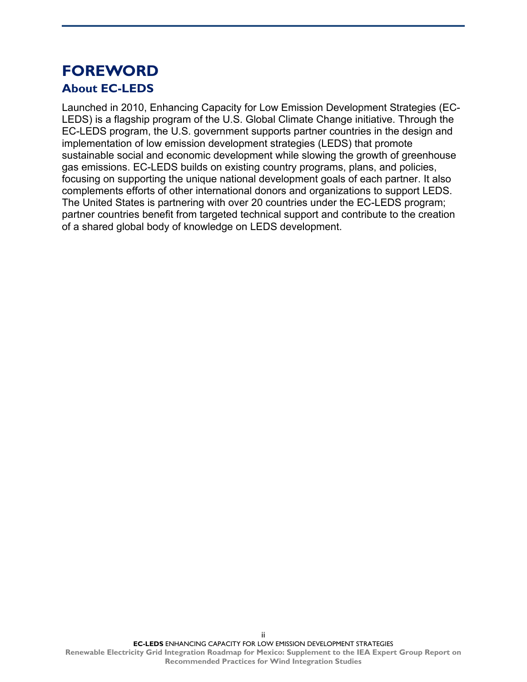## <span id="page-1-0"></span>**FOREWORD About EC-LEDS**

Launched in 2010, Enhancing Capacity for Low Emission Development Strategies (EC-LEDS) is a flagship program of the U.S. Global Climate Change initiative. Through the EC-LEDS program, the U.S. government supports partner countries in the design and implementation of low emission development strategies (LEDS) that promote sustainable social and economic development while slowing the growth of greenhouse gas emissions. EC-LEDS builds on existing country programs, plans, and policies, focusing on supporting the unique national development goals of each partner. It also complements efforts of other international donors and organizations to support LEDS. The United States is partnering with over 20 countries under the EC-LEDS program; partner countries benefit from targeted technical support and contribute to the creation of a shared global body of knowledge on LEDS development.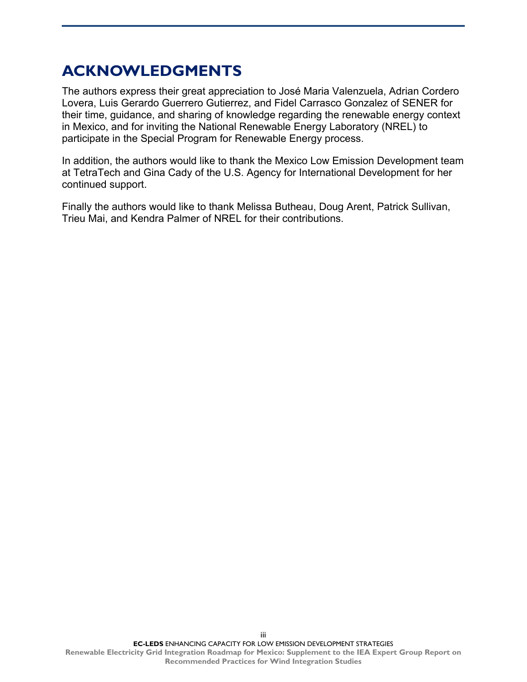## **ACKNOWLEDGMENTS**

The authors express their great appreciation to José Maria Valenzuela, Adrian Cordero Lovera, Luis Gerardo Guerrero Gutierrez, and Fidel Carrasco Gonzalez of SENER for their time, guidance, and sharing of knowledge regarding the renewable energy context in Mexico, and for inviting the National Renewable Energy Laboratory (NREL) to participate in the Special Program for Renewable Energy process.

In addition, the authors would like to thank the Mexico Low Emission Development team at TetraTech and Gina Cady of the U.S. Agency for International Development for her continued support.

Finally the authors would like to thank Melissa Butheau, Doug Arent, Patrick Sullivan, Trieu Mai, and Kendra Palmer of NREL for their contributions.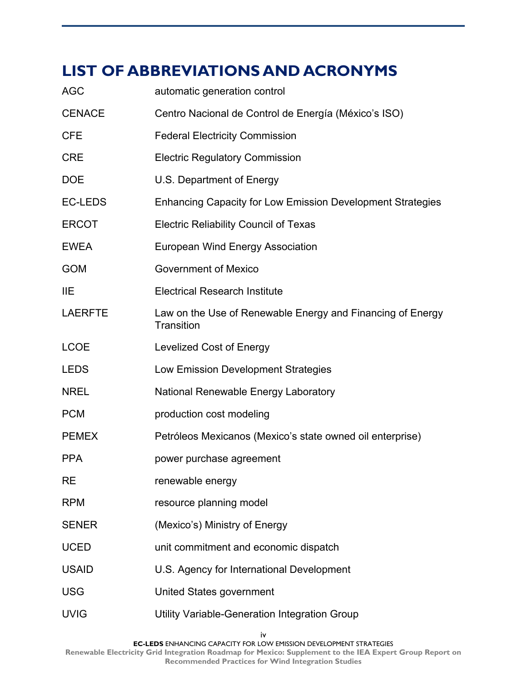# **LIST OF ABBREVIATIONS AND ACRONYMS**

| <b>AGC</b>     | automatic generation control                                             |
|----------------|--------------------------------------------------------------------------|
| <b>CENACE</b>  | Centro Nacional de Control de Energía (México's ISO)                     |
| <b>CFE</b>     | <b>Federal Electricity Commission</b>                                    |
| <b>CRE</b>     | <b>Electric Regulatory Commission</b>                                    |
| <b>DOE</b>     | U.S. Department of Energy                                                |
| EC-LEDS        | <b>Enhancing Capacity for Low Emission Development Strategies</b>        |
| <b>ERCOT</b>   | <b>Electric Reliability Council of Texas</b>                             |
| <b>EWEA</b>    | <b>European Wind Energy Association</b>                                  |
| <b>GOM</b>     | <b>Government of Mexico</b>                                              |
| <b>IIE</b>     | <b>Electrical Research Institute</b>                                     |
| <b>LAERFTE</b> | Law on the Use of Renewable Energy and Financing of Energy<br>Transition |
| <b>LCOE</b>    | <b>Levelized Cost of Energy</b>                                          |
| <b>LEDS</b>    | Low Emission Development Strategies                                      |
| <b>NREL</b>    | National Renewable Energy Laboratory                                     |
| <b>PCM</b>     | production cost modeling                                                 |
| <b>PEMEX</b>   | Petróleos Mexicanos (Mexico's state owned oil enterprise)                |
| <b>PPA</b>     | power purchase agreement                                                 |
| <b>RE</b>      | renewable energy                                                         |
| <b>RPM</b>     | resource planning model                                                  |
| <b>SENER</b>   | (Mexico's) Ministry of Energy                                            |
| <b>UCED</b>    | unit commitment and economic dispatch                                    |
| <b>USAID</b>   | U.S. Agency for International Development                                |
| <b>USG</b>     | United States government                                                 |
| <b>UVIG</b>    | Utility Variable-Generation Integration Group                            |

**Renewable Electricity Grid Integration Roadmap for Mexico: Supplement to the IEA Expert Group Report on Recommended Practices for Wind Integration Studies**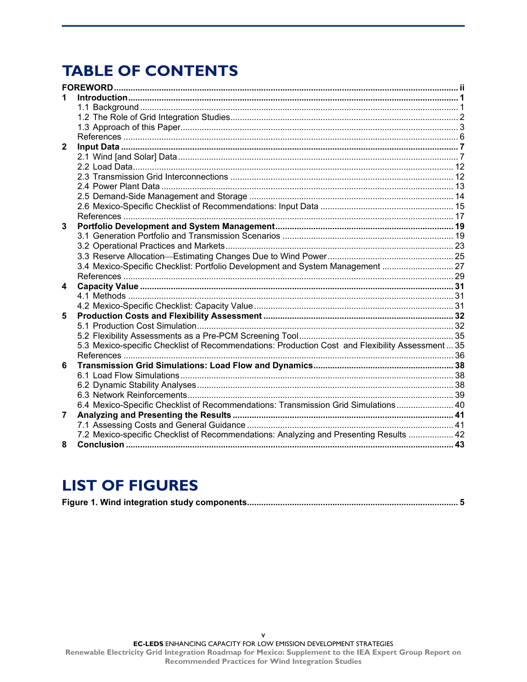# **TABLE OF CONTENTS**

| $\mathbf{2}$            |                                                                                                 |  |
|-------------------------|-------------------------------------------------------------------------------------------------|--|
|                         |                                                                                                 |  |
|                         |                                                                                                 |  |
|                         |                                                                                                 |  |
|                         |                                                                                                 |  |
|                         |                                                                                                 |  |
|                         |                                                                                                 |  |
|                         |                                                                                                 |  |
| 3                       |                                                                                                 |  |
|                         |                                                                                                 |  |
|                         |                                                                                                 |  |
|                         |                                                                                                 |  |
|                         | 3.4 Mexico-Specific Checklist: Portfolio Development and System Management  27                  |  |
|                         |                                                                                                 |  |
| $\overline{\mathbf{4}}$ |                                                                                                 |  |
|                         |                                                                                                 |  |
|                         |                                                                                                 |  |
| 5                       |                                                                                                 |  |
|                         |                                                                                                 |  |
|                         |                                                                                                 |  |
|                         | 5.3 Mexico-specific Checklist of Recommendations: Production Cost and Flexibility Assessment 35 |  |
|                         |                                                                                                 |  |
| 6                       |                                                                                                 |  |
|                         |                                                                                                 |  |
|                         |                                                                                                 |  |
|                         |                                                                                                 |  |
|                         | 6.4 Mexico-Specific Checklist of Recommendations: Transmission Grid Simulations 40              |  |
| 7                       |                                                                                                 |  |
|                         |                                                                                                 |  |
|                         | 7.2 Mexico-specific Checklist of Recommendations: Analyzing and Presenting Results  42          |  |
| 8                       |                                                                                                 |  |

## **LIST OF FIGURES**

|--|

 $\mathbf{v}$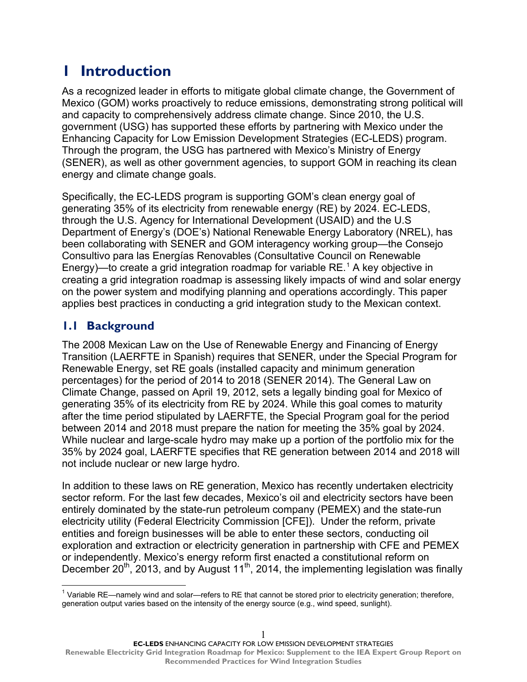# <span id="page-5-0"></span>**1 Introduction**

As a recognized leader in efforts to mitigate global climate change, the Government of Mexico (GOM) works proactively to reduce emissions, demonstrating strong political will and capacity to comprehensively address climate change. Since 2010, the U.S. government (USG) has supported these efforts by partnering with Mexico under the Enhancing Capacity for Low Emission Development Strategies (EC-LEDS) program. Through the program, the USG has partnered with Mexico's Ministry of Energy (SENER), as well as other government agencies, to support GOM in reaching its clean energy and climate change goals.

Specifically, the EC-LEDS program is supporting GOM's clean energy goal of generating 35% of its electricity from renewable energy (RE) by 2024. EC-LEDS, through the U.S. Agency for International Development (USAID) and the U.S Department of Energy's (DOE's) National Renewable Energy Laboratory (NREL), has been collaborating with SENER and GOM interagency working group—the Consejo Consultivo para las Energías Renovables (Consultative Council on Renewable Energy)—to create a grid integration roadmap for variable RE. [1](#page-5-2) A key objective in creating a grid integration roadmap is assessing likely impacts of wind and solar energy on the power system and modifying planning and operations accordingly. This paper applies best practices in conducting a grid integration study to the Mexican context.

## <span id="page-5-1"></span>**1.1 Background**

The 2008 Mexican Law on the Use of Renewable Energy and Financing of Energy Transition (LAERFTE in Spanish) requires that SENER, under the Special Program for Renewable Energy, set RE goals (installed capacity and minimum generation percentages) for the period of 2014 to 2018 (SENER 2014). The General Law on Climate Change, passed on April 19, 2012, sets a legally binding goal for Mexico of generating 35% of its electricity from RE by 2024. While this goal comes to maturity after the time period stipulated by LAERFTE, the Special Program goal for the period between 2014 and 2018 must prepare the nation for meeting the 35% goal by 2024. While nuclear and large-scale hydro may make up a portion of the portfolio mix for the 35% by 2024 goal, LAERFTE specifies that RE generation between 2014 and 2018 will not include nuclear or new large hydro.

In addition to these laws on RE generation, Mexico has recently undertaken electricity sector reform. For the last few decades, Mexico's oil and electricity sectors have been entirely dominated by the state-run petroleum company (PEMEX) and the state-run electricity utility (Federal Electricity Commission [CFE]). Under the reform, private entities and foreign businesses will be able to enter these sectors, conducting oil exploration and extraction or electricity generation in partnership with CFE and PEMEX or independently. Mexico's energy reform first enacted a constitutional reform on December 20<sup>th</sup>, 2013, and by August 11<sup>th</sup>, 2014, the implementing legislation was finally

<span id="page-5-2"></span>  $1$  Variable RE—namely wind and solar—refers to RE that cannot be stored prior to electricity generation; therefore, generation output varies based on the intensity of the energy source (e.g., wind speed, sunlight).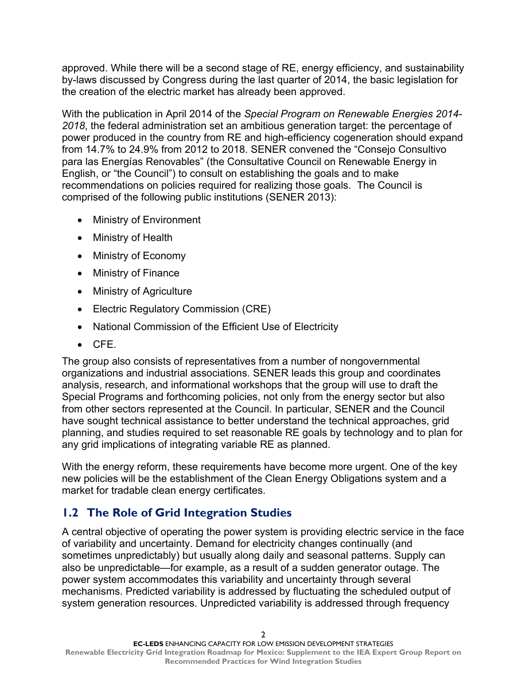approved. While there will be a second stage of RE, energy efficiency, and sustainability by-laws discussed by Congress during the last quarter of 2014, the basic legislation for the creation of the electric market has already been approved.

With the publication in April 2014 of the *Special Program on Renewable Energies 2014- 2018*, the federal administration set an ambitious generation target: the percentage of power produced in the country from RE and high-efficiency cogeneration should expand from 14.7% to 24.9% from 2012 to 2018. SENER convened the "Consejo Consultivo para las Energías Renovables" (the Consultative Council on Renewable Energy in English, or "the Council") to consult on establishing the goals and to make recommendations on policies required for realizing those goals. The Council is comprised of the following public institutions (SENER 2013):

- Ministry of Environment
- Ministry of Health
- Ministry of Economy
- Ministry of Finance
- Ministry of Agriculture
- Electric Regulatory Commission (CRE)
- National Commission of the Efficient Use of Electricity
- CFE.

The group also consists of representatives from a number of nongovernmental organizations and industrial associations. SENER leads this group and coordinates analysis, research, and informational workshops that the group will use to draft the Special Programs and forthcoming policies, not only from the energy sector but also from other sectors represented at the Council. In particular, SENER and the Council have sought technical assistance to better understand the technical approaches, grid planning, and studies required to set reasonable RE goals by technology and to plan for any grid implications of integrating variable RE as planned.

With the energy reform, these requirements have become more urgent. One of the key new policies will be the establishment of the Clean Energy Obligations system and a market for tradable clean energy certificates.

## <span id="page-6-0"></span>**1.2 The Role of Grid Integration Studies**

A central objective of operating the power system is providing electric service in the face of variability and uncertainty. Demand for electricity changes continually (and sometimes unpredictably) but usually along daily and seasonal patterns. Supply can also be unpredictable—for example, as a result of a sudden generator outage. The power system accommodates this variability and uncertainty through several mechanisms. Predicted variability is addressed by fluctuating the scheduled output of system generation resources. Unpredicted variability is addressed through frequency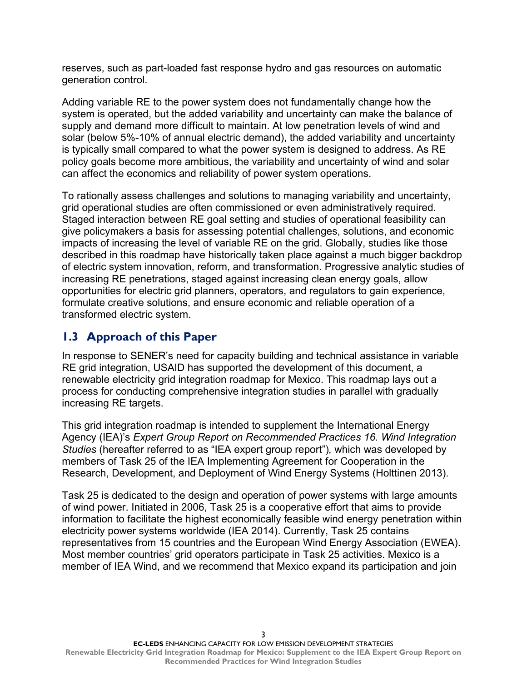reserves, such as part-loaded fast response hydro and gas resources on automatic generation control.

Adding variable RE to the power system does not fundamentally change how the system is operated, but the added variability and uncertainty can make the balance of supply and demand more difficult to maintain. At low penetration levels of wind and solar (below 5%-10% of annual electric demand), the added variability and uncertainty is typically small compared to what the power system is designed to address. As RE policy goals become more ambitious, the variability and uncertainty of wind and solar can affect the economics and reliability of power system operations.

To rationally assess challenges and solutions to managing variability and uncertainty, grid operational studies are often commissioned or even administratively required. Staged interaction between RE goal setting and studies of operational feasibility can give policymakers a basis for assessing potential challenges, solutions, and economic impacts of increasing the level of variable RE on the grid. Globally, studies like those described in this roadmap have historically taken place against a much bigger backdrop of electric system innovation, reform, and transformation. Progressive analytic studies of increasing RE penetrations, staged against increasing clean energy goals, allow opportunities for electric grid planners, operators, and regulators to gain experience, formulate creative solutions, and ensure economic and reliable operation of a transformed electric system.

### <span id="page-7-0"></span>**1.3 Approach of this Paper**

In response to SENER's need for capacity building and technical assistance in variable RE grid integration, USAID has supported the development of this document, a renewable electricity grid integration roadmap for Mexico. This roadmap lays out a process for conducting comprehensive integration studies in parallel with gradually increasing RE targets.

This grid integration roadmap is intended to supplement the International Energy Agency (IEA)'s *Expert Group Report on Recommended Practices 16. Wind Integration Studies* (hereafter referred to as "IEA expert group report")*,* which was developed by members of Task 25 of the IEA Implementing Agreement for Cooperation in the Research, Development, and Deployment of Wind Energy Systems (Holttinen 2013).

Task 25 is dedicated to the design and operation of power systems with large amounts of wind power. Initiated in 2006, Task 25 is a cooperative effort that aims to provide information to facilitate the highest economically feasible wind energy penetration within electricity power systems worldwide (IEA 2014). Currently, Task 25 contains representatives from 15 countries and the European Wind Energy Association (EWEA). Most member countries' grid operators participate in Task 25 activities. Mexico is a member of IEA Wind, and we recommend that Mexico expand its participation and join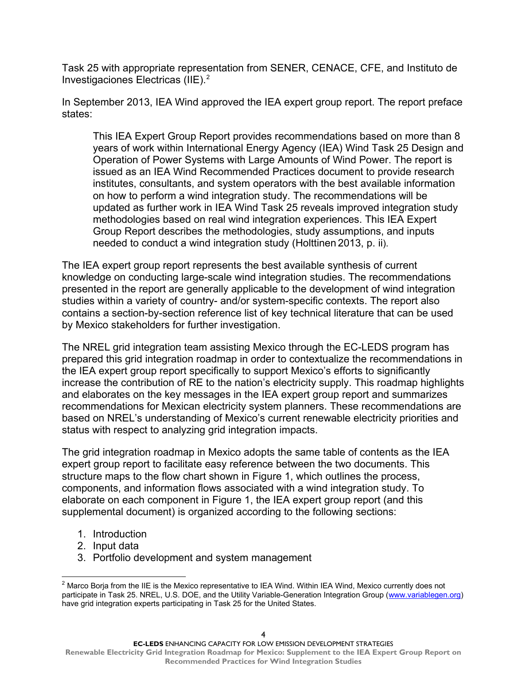Task 25 with appropriate representation from SENER, CENACE, CFE, and Instituto de Investigaciones Electricas (IIE). $<sup>2</sup>$  $<sup>2</sup>$  $<sup>2</sup>$ </sup>

In September 2013, IEA Wind approved the IEA expert group report. The report preface states:

This IEA Expert Group Report provides recommendations based on more than 8 years of work within International Energy Agency (IEA) Wind Task 25 Design and Operation of Power Systems with Large Amounts of Wind Power. The report is issued as an IEA Wind Recommended Practices document to provide research institutes, consultants, and system operators with the best available information on how to perform a wind integration study. The recommendations will be updated as further work in IEA Wind Task 25 reveals improved integration study methodologies based on real wind integration experiences. This IEA Expert Group Report describes the methodologies, study assumptions, and inputs needed to conduct a wind integration study (Holttinen 2013, p. ii).

The IEA expert group report represents the best available synthesis of current knowledge on conducting large-scale wind integration studies. The recommendations presented in the report are generally applicable to the development of wind integration studies within a variety of country- and/or system-specific contexts. The report also contains a section-by-section reference list of key technical literature that can be used by Mexico stakeholders for further investigation.

The NREL grid integration team assisting Mexico through the EC-LEDS program has prepared this grid integration roadmap in order to contextualize the recommendations in the IEA expert group report specifically to support Mexico's efforts to significantly increase the contribution of RE to the nation's electricity supply. This roadmap highlights and elaborates on the key messages in the IEA expert group report and summarizes recommendations for Mexican electricity system planners. These recommendations are based on NREL's understanding of Mexico's current renewable electricity priorities and status with respect to analyzing grid integration impacts.

The grid integration roadmap in Mexico adopts the same table of contents as the IEA expert group report to facilitate easy reference between the two documents. This structure maps to the flow chart shown in [Figure 1,](#page-9-0) which outlines the process, components, and information flows associated with a wind integration study. To elaborate on each component in [Figure 1,](#page-9-0) the IEA expert group report (and this supplemental document) is organized according to the following sections:

- 1. Introduction
- 2. Input data
- 3. Portfolio development and system management

<span id="page-8-0"></span> $\overline{a}$  $<sup>2</sup>$  Marco Borja from the IIE is the Mexico representative to IEA Wind. Within IEA Wind, Mexico currently does not</sup> participate in Task 25. NREL, U.S. DOE, and the Utility Variable-Generation Integration Group [\(www.variablegen.org\)](http://www.variablegen.org/) have grid integration experts participating in Task 25 for the United States.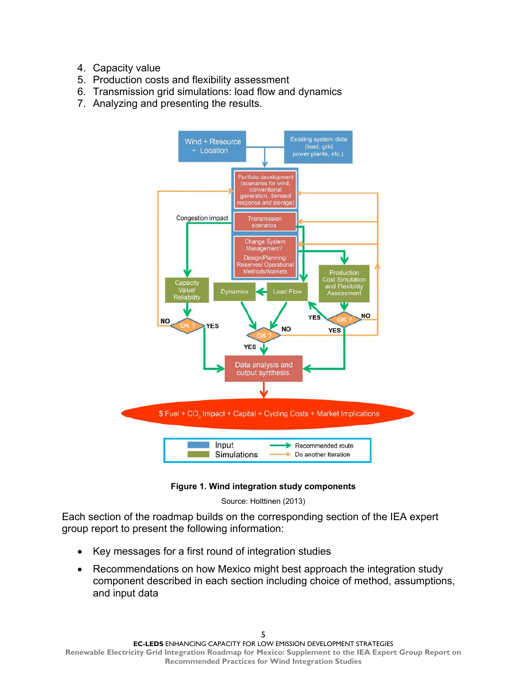- 4. Capacity value
- 5. Production costs and flexibility assessment
- 6. Transmission grid simulations: load flow and dynamics
- 7. Analyzing and presenting the results.



#### **Figure 1. Wind integration study components**

Source: Holttinen (2013)

<span id="page-9-0"></span>Each section of the roadmap builds on the corresponding section of the IEA expert group report to present the following information:

- Key messages for a first round of integration studies
- Recommendations on how Mexico might best approach the integration study component described in each section including choice of method, assumptions, and input data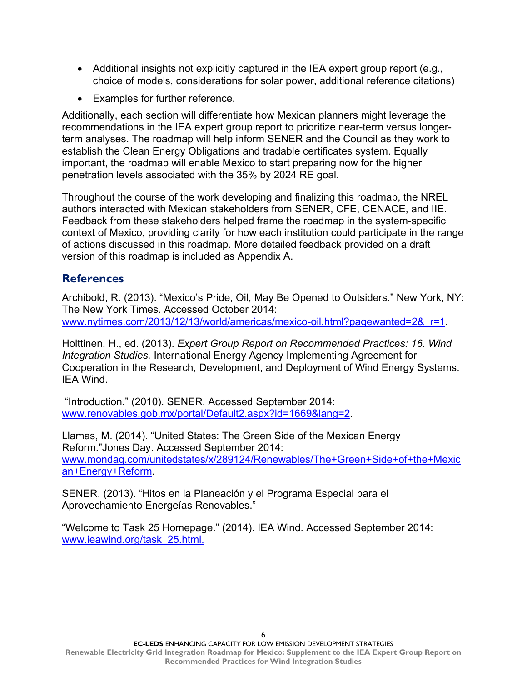- Additional insights not explicitly captured in the IEA expert group report (e.g., choice of models, considerations for solar power, additional reference citations)
- Examples for further reference.

Additionally, each section will differentiate how Mexican planners might leverage the recommendations in the IEA expert group report to prioritize near-term versus longerterm analyses. The roadmap will help inform SENER and the Council as they work to establish the Clean Energy Obligations and tradable certificates system. Equally important, the roadmap will enable Mexico to start preparing now for the higher penetration levels associated with the 35% by 2024 RE goal.

<span id="page-10-0"></span>Throughout the course of the work developing and finalizing this roadmap, the NREL authors interacted with Mexican stakeholders from SENER, CFE, CENACE, and IIE. Feedback from these stakeholders helped frame the roadmap in the system-specific context of Mexico, providing clarity for how each institution could participate in the range of actions discussed in this roadmap. More detailed feedback provided on a draft version of this roadmap is included as Appendix A.

#### **References**

Archibold, R. (2013). "Mexico's Pride, Oil, May Be Opened to Outsiders." New York, NY: The New York Times. Accessed October 2014: [www.nytimes.com/2013/12/13/world/americas/mexico-oil.html?pagewanted=2&\\_r=1.](http://www.nytimes.com/2013/12/13/world/americas/mexico-oil.html?pagewanted=2&_r=1)

Holttinen, H., ed. (2013). *Expert Group Report on Recommended Practices: 16. Wind Integration Studies.* International Energy Agency Implementing Agreement for Cooperation in the Research, Development, and Deployment of Wind Energy Systems. IEA Wind.

 "Introduction." (2010). SENER. Accessed September 2014: [www.renovables.gob.mx/portal/Default2.aspx?id=1669&lang=2.](http://www.renovables.gob.mx/portal/Default2.aspx?id=1669&lang=2)

Llamas, M. (2014). "United States: The Green Side of the Mexican Energy Reform."Jones Day. Accessed September 2014: [www.mondaq.com/unitedstates/x/289124/Renewables/The+Green+Side+of+the+Mexic](http://www.mondaq.com/unitedstates/x/289124/Renewables/The+Green+Side+of+the+Mexican+Energy+Reform) [an+Energy+Reform.](http://www.mondaq.com/unitedstates/x/289124/Renewables/The+Green+Side+of+the+Mexican+Energy+Reform)

SENER. (2013). "Hitos en la Planeación y el Programa Especial para el Aprovechamiento Energeías Renovables."

"Welcome to Task 25 Homepage." (2014). IEA Wind. Accessed September 2014: [www.ieawind.org/task\\_25.html.](http://www.ieawind.org/task_25.html)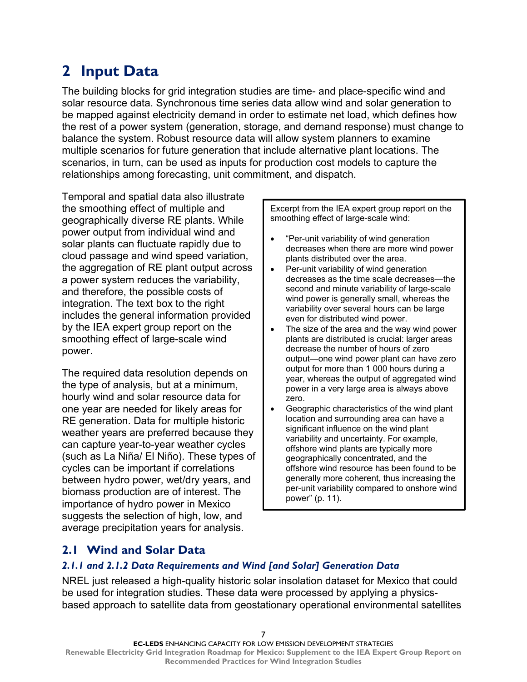# <span id="page-11-0"></span>**2 Input Data**

The building blocks for grid integration studies are time- and place-specific wind and solar resource data. Synchronous time series data allow wind and solar generation to be mapped against electricity demand in order to estimate net load, which defines how the rest of a power system (generation, storage, and demand response) must change to balance the system. Robust resource data will allow system planners to examine multiple scenarios for future generation that include alternative plant locations. The scenarios, in turn, can be used as inputs for production cost models to capture the relationships among forecasting, unit commitment, and dispatch.

Temporal and spatial data also illustrate the smoothing effect of multiple and geographically diverse RE plants. While power output from individual wind and solar plants can fluctuate rapidly due to cloud passage and wind speed variation, the aggregation of RE plant output across a power system reduces the variability, and therefore, the possible costs of integration. The text box to the right includes the general information provided by the IEA expert group report on the smoothing effect of large-scale wind power.

The required data resolution depends on the type of analysis, but at a minimum, hourly wind and solar resource data for one year are needed for likely areas for RE generation. Data for multiple historic weather years are preferred because they can capture year-to-year weather cycles (such as La Niña/ El Niño). These types of cycles can be important if correlations between hydro power, wet/dry years, and biomass production are of interest. The importance of hydro power in Mexico suggests the selection of high, low, and average precipitation years for analysis.

Excerpt from the IEA expert group report on the smoothing effect of large-scale wind:

- "Per-unit variability of wind generation decreases when there are more wind power plants distributed over the area.
- Per-unit variability of wind generation decreases as the time scale decreases—the second and minute variability of large-scale wind power is generally small, whereas the variability over several hours can be large even for distributed wind power.
- The size of the area and the way wind power plants are distributed is crucial: larger areas decrease the number of hours of zero output—one wind power plant can have zero output for more than 1 000 hours during a year, whereas the output of aggregated wind power in a very large area is always above zero.
- Geographic characteristics of the wind plant location and surrounding area can have a significant influence on the wind plant variability and uncertainty. For example, offshore wind plants are typically more geographically concentrated, and the offshore wind resource has been found to be generally more coherent, thus increasing the per-unit variability compared to onshore wind power" (p. 11).

## <span id="page-11-1"></span>**2.1 Wind and Solar Data**

#### *2.1.1 and 2.1.2 Data Requirements and Wind [and Solar] Generation Data*

NREL just released a high-quality historic solar insolation dataset for Mexico that could be used for integration studies. These data were processed by applying a physicsbased approach to satellite data from geostationary operational environmental satellites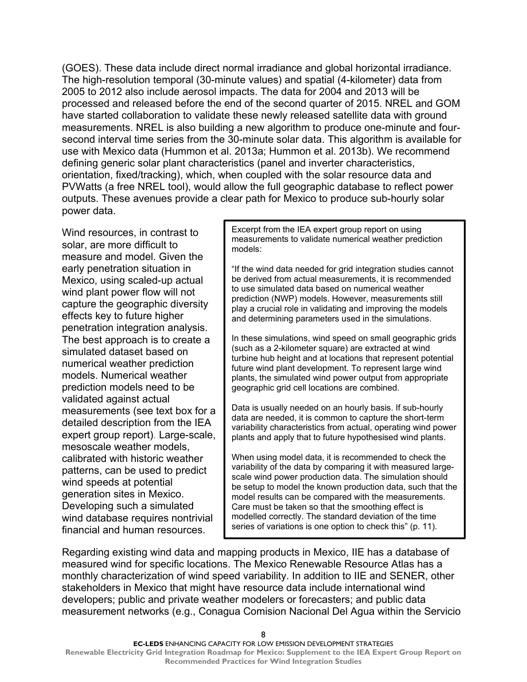(GOES). These data include direct normal irradiance and global horizontal irradiance. The high-resolution temporal (30-minute values) and spatial (4-kilometer) data from 2005 to 2012 also include aerosol impacts. The data for 2004 and 2013 will be processed and released before the end of the second quarter of 2015. NREL and GOM have started collaboration to validate these newly released satellite data with ground measurements. NREL is also building a new algorithm to produce one-minute and foursecond interval time series from the 30-minute solar data. This algorithm is available for use with Mexico data (Hummon et al. 2013a; Hummon et al. 2013b). We recommend defining generic solar plant characteristics (panel and inverter characteristics, orientation, fixed/tracking), which, when coupled with the solar resource data and PVWatts (a free NREL tool), would allow the full geographic database to reflect power outputs. These avenues provide a clear path for Mexico to produce sub-hourly solar power data.

Wind resources, in contrast to solar, are more difficult to measure and model. Given the early penetration situation in Mexico, using scaled-up actual wind plant power flow will not capture the geographic diversity effects key to future higher penetration integration analysis. The best approach is to create a simulated dataset based on numerical weather prediction models. Numerical weather prediction models need to be validated against actual measurements (see text box for a detailed description from the IEA expert group report). Large-scale, mesoscale weather models, calibrated with historic weather patterns, can be used to predict wind speeds at potential generation sites in Mexico. Developing such a simulated wind database requires nontrivial financial and human resources.

Excerpt from the IEA expert group report on using measurements to validate numerical weather prediction models:

"If the wind data needed for grid integration studies cannot be derived from actual measurements, it is recommended to use simulated data based on numerical weather prediction (NWP) models. However, measurements still play a crucial role in validating and improving the models and determining parameters used in the simulations.

In these simulations, wind speed on small geographic grids (such as a 2-kilometer square) are extracted at wind turbine hub height and at locations that represent potential future wind plant development. To represent large wind plants, the simulated wind power output from appropriate geographic grid cell locations are combined.

Data is usually needed on an hourly basis. If sub-hourly data are needed, it is common to capture the short-term variability characteristics from actual, operating wind power plants and apply that to future hypothesised wind plants.

When using model data, it is recommended to check the variability of the data by comparing it with measured largescale wind power production data. The simulation should be setup to model the known production data, such that the model results can be compared with the measurements. Care must be taken so that the smoothing effect is modelled correctly. The standard deviation of the time series of variations is one option to check this" (p. 11).

Regarding existing wind data and mapping products in Mexico, IIE has a database of measured wind for specific locations. The Mexico Renewable Resource Atlas has a monthly characterization of wind speed variability. In addition to IIE and SENER, other stakeholders in Mexico that might have resource data include international wind developers; public and private weather modelers or forecasters; and public data measurement networks (e.g., Conagua Comision Nacional Del Agua within the Servicio

8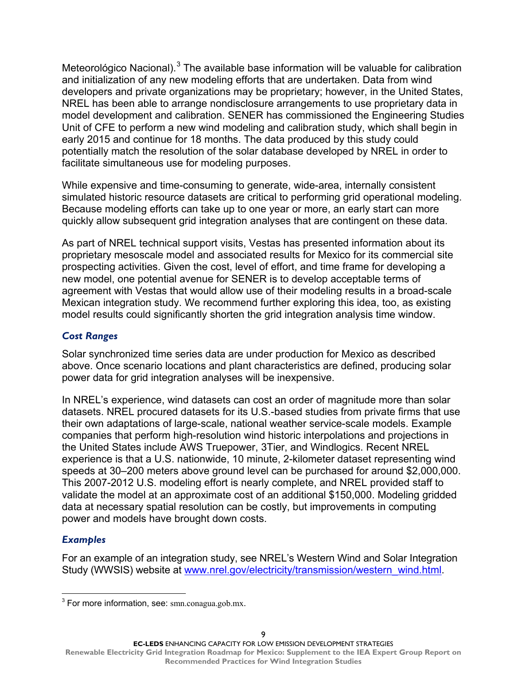Meteorológico Nacional). $3$  The available base information will be valuable for calibration and initialization of any new modeling efforts that are undertaken. Data from wind developers and private organizations may be proprietary; however, in the United States, NREL has been able to arrange nondisclosure arrangements to use proprietary data in model development and calibration. SENER has commissioned the Engineering Studies Unit of CFE to perform a new wind modeling and calibration study, which shall begin in early 2015 and continue for 18 months. The data produced by this study could potentially match the resolution of the solar database developed by NREL in order to facilitate simultaneous use for modeling purposes.

While expensive and time-consuming to generate, wide-area, internally consistent simulated historic resource datasets are critical to performing grid operational modeling. Because modeling efforts can take up to one year or more, an early start can more quickly allow subsequent grid integration analyses that are contingent on these data.

As part of NREL technical support visits, Vestas has presented information about its proprietary mesoscale model and associated results for Mexico for its commercial site prospecting activities. Given the cost, level of effort, and time frame for developing a new model, one potential avenue for SENER is to develop acceptable terms of agreement with Vestas that would allow use of their modeling results in a broad-scale Mexican integration study. We recommend further exploring this idea, too, as existing model results could significantly shorten the grid integration analysis time window.

#### *Cost Ranges*

Solar synchronized time series data are under production for Mexico as described above. Once scenario locations and plant characteristics are defined, producing solar power data for grid integration analyses will be inexpensive.

In NREL's experience, wind datasets can cost an order of magnitude more than solar datasets. NREL procured datasets for its U.S.-based studies from private firms that use their own adaptations of large-scale, national weather service-scale models. Example companies that perform high-resolution wind historic interpolations and projections in the United States include AWS Truepower, 3Tier, and Windlogics. Recent NREL experience is that a U.S. nationwide, 10 minute, 2-kilometer dataset representing wind speeds at 30–200 meters above ground level can be purchased for around \$2,000,000. This 2007-2012 U.S. modeling effort is nearly complete, and NREL provided staff to validate the model at an approximate cost of an additional \$150,000. Modeling gridded data at necessary spatial resolution can be costly, but improvements in computing power and models have brought down costs.

#### *Examples*

 $\overline{a}$ 

For an example of an integration study, see NREL's Western Wind and Solar Integration Study (WWSIS) website at www.nrel.gov/electricity/transmission/western\_wind.html.

**EC-LEDS** ENHANCING CAPACITY FOR LOW EMISSION DEVELOPMENT STRATEGIES **Renewable Electricity Grid Integration Roadmap for Mexico: Supplement to the IEA Expert Group Report on Recommended Practices for Wind Integration Studies**

<span id="page-13-0"></span><sup>&</sup>lt;sup>3</sup> For more information, see: smn.conagua.gob.mx.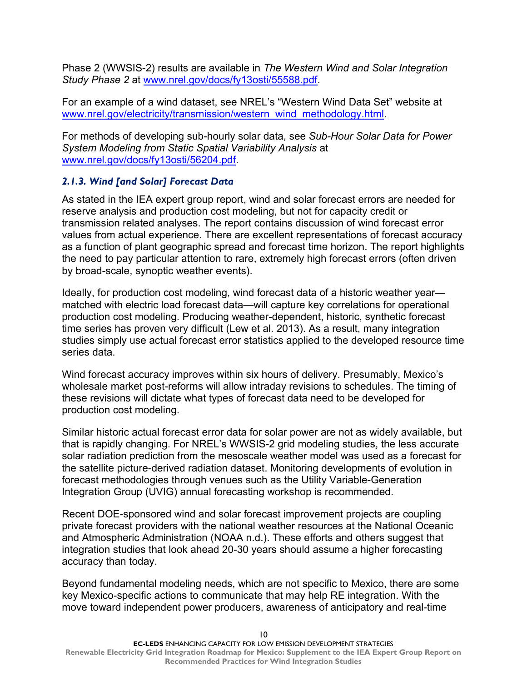Phase 2 (WWSIS-2) results are available in *The Western Wind and Solar Integration Study Phase 2* at [www.nrel.gov/docs/fy13osti/55588.pdf.](http://www.nrel.gov/docs/fy13osti/55588.pdf)

For an example of a wind dataset, see NREL's "Western Wind Data Set" website at www.nrel.gov/electricity/transmission/western\_wind\_methodology.html

For methods of developing sub-hourly solar data, see *Sub-Hour Solar Data for Power System Modeling from Static Spatial Variability Analysis* at [www.nrel.gov/docs/fy13osti/56204.pdf.](http://www.nrel.gov/docs/fy13osti/56204.pdf)

#### *2.1.3. Wind [and Solar] Forecast Data*

As stated in the IEA expert group report, wind and solar forecast errors are needed for reserve analysis and production cost modeling, but not for capacity credit or transmission related analyses. The report contains discussion of wind forecast error values from actual experience. There are excellent representations of forecast accuracy as a function of plant geographic spread and forecast time horizon. The report highlights the need to pay particular attention to rare, extremely high forecast errors (often driven by broad-scale, synoptic weather events).

Ideally, for production cost modeling, wind forecast data of a historic weather year matched with electric load forecast data—will capture key correlations for operational production cost modeling. Producing weather-dependent, historic, synthetic forecast time series has proven very difficult (Lew et al. 2013). As a result, many integration studies simply use actual forecast error statistics applied to the developed resource time series data.

Wind forecast accuracy improves within six hours of delivery. Presumably, Mexico's wholesale market post-reforms will allow intraday revisions to schedules. The timing of these revisions will dictate what types of forecast data need to be developed for production cost modeling.

Similar historic actual forecast error data for solar power are not as widely available, but that is rapidly changing. For NREL's WWSIS-2 grid modeling studies, the less accurate solar radiation prediction from the mesoscale weather model was used as a forecast for the satellite picture-derived radiation dataset. Monitoring developments of evolution in forecast methodologies through venues such as the Utility Variable-Generation Integration Group (UVIG) annual forecasting workshop is recommended.

Recent DOE-sponsored wind and solar forecast improvement projects are coupling private forecast providers with the national weather resources at the National Oceanic and Atmospheric Administration (NOAA n.d.). These efforts and others suggest that integration studies that look ahead 20-30 years should assume a higher forecasting accuracy than today.

Beyond fundamental modeling needs, which are not specific to Mexico, there are some key Mexico-specific actions to communicate that may help RE integration. With the move toward independent power producers, awareness of anticipatory and real-time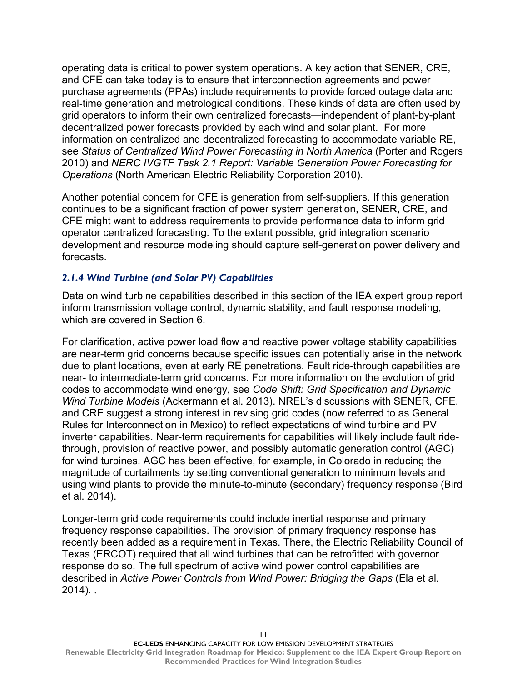operating data is critical to power system operations. A key action that SENER, CRE, and CFE can take today is to ensure that interconnection agreements and power purchase agreements (PPAs) include requirements to provide forced outage data and real-time generation and metrological conditions. These kinds of data are often used by grid operators to inform their own centralized forecasts—independent of plant-by-plant decentralized power forecasts provided by each wind and solar plant. For more information on centralized and decentralized forecasting to accommodate variable RE, see *Status of Centralized Wind Power Forecasting in North America* (Porter and Rogers 2010) and *NERC IVGTF Task 2.1 Report: Variable Generation Power Forecasting for Operations* (North American Electric Reliability Corporation 2010).

Another potential concern for CFE is generation from self-suppliers. If this generation continues to be a significant fraction of power system generation, SENER, CRE, and CFE might want to address requirements to provide performance data to inform grid operator centralized forecasting. To the extent possible, grid integration scenario development and resource modeling should capture self-generation power delivery and forecasts.

#### *2.1.4 Wind Turbine (and Solar PV) Capabilities*

Data on wind turbine capabilities described in this section of the IEA expert group report inform transmission voltage control, dynamic stability, and fault response modeling, which are covered in Section 6.

For clarification, active power load flow and reactive power voltage stability capabilities are near-term grid concerns because specific issues can potentially arise in the network due to plant locations, even at early RE penetrations. Fault ride-through capabilities are near- to intermediate-term grid concerns. For more information on the evolution of grid codes to accommodate wind energy, see *Code Shift: Grid Specification and Dynamic Wind Turbine Models* (Ackermann et al. 2013). NREL's discussions with SENER, CFE, and CRE suggest a strong interest in revising grid codes (now referred to as General Rules for Interconnection in Mexico) to reflect expectations of wind turbine and PV inverter capabilities. Near-term requirements for capabilities will likely include fault ridethrough, provision of reactive power, and possibly automatic generation control (AGC) for wind turbines. AGC has been effective, for example, in Colorado in reducing the magnitude of curtailments by setting conventional generation to minimum levels and using wind plants to provide the minute-to-minute (secondary) frequency response (Bird et al. 2014).

Longer-term grid code requirements could include inertial response and primary frequency response capabilities. The provision of primary frequency response has recently been added as a requirement in Texas. There, the Electric Reliability Council of Texas (ERCOT) required that all wind turbines that can be retrofitted with governor response do so. The full spectrum of active wind power control capabilities are described in *Active Power Controls from Wind Power: Bridging the Gaps* (Ela et al.  $2014$ ).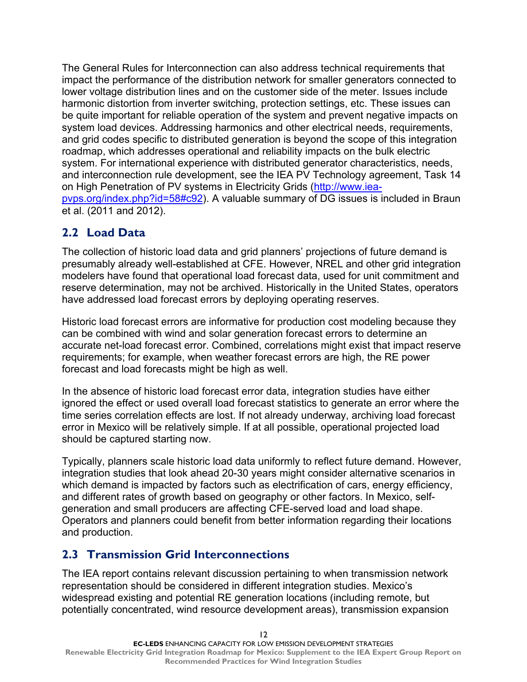<span id="page-16-0"></span>The General Rules for Interconnection can also address technical requirements that impact the performance of the distribution network for smaller generators connected to lower voltage distribution lines and on the customer side of the meter. Issues include harmonic distortion from inverter switching, protection settings, etc. These issues can be quite important for reliable operation of the system and prevent negative impacts on system load devices. Addressing harmonics and other electrical needs, requirements, and grid codes specific to distributed generation is beyond the scope of this integration roadmap, which addresses operational and reliability impacts on the bulk electric system. For international experience with distributed generator characteristics, needs, and interconnection rule development, see the IEA PV Technology agreement, Task 14 on High Penetration of PV systems in Electricity Grids [\(http://www.iea](http://www.iea-pvps.org/index.php?id=58#c92)[pvps.org/index.php?id=58#c92\)](http://www.iea-pvps.org/index.php?id=58#c92). A valuable summary of DG issues is included in Braun et al. (2011 and 2012).

### **2.2 Load Data**

The collection of historic load data and grid planners' projections of future demand is presumably already well-established at CFE. However, NREL and other grid integration modelers have found that operational load forecast data, used for unit commitment and reserve determination, may not be archived. Historically in the United States, operators have addressed load forecast errors by deploying operating reserves.

Historic load forecast errors are informative for production cost modeling because they can be combined with wind and solar generation forecast errors to determine an accurate net-load forecast error. Combined, correlations might exist that impact reserve requirements; for example, when weather forecast errors are high, the RE power forecast and load forecasts might be high as well.

In the absence of historic load forecast error data, integration studies have either ignored the effect or used overall load forecast statistics to generate an error where the time series correlation effects are lost. If not already underway, archiving load forecast error in Mexico will be relatively simple. If at all possible, operational projected load should be captured starting now.

Typically, planners scale historic load data uniformly to reflect future demand. However, integration studies that look ahead 20-30 years might consider alternative scenarios in which demand is impacted by factors such as electrification of cars, energy efficiency, and different rates of growth based on geography or other factors. In Mexico, selfgeneration and small producers are affecting CFE-served load and load shape. Operators and planners could benefit from better information regarding their locations and production.

#### <span id="page-16-1"></span>**2.3 Transmission Grid Interconnections**

The IEA report contains relevant discussion pertaining to when transmission network representation should be considered in different integration studies. Mexico's widespread existing and potential RE generation locations (including remote, but potentially concentrated, wind resource development areas), transmission expansion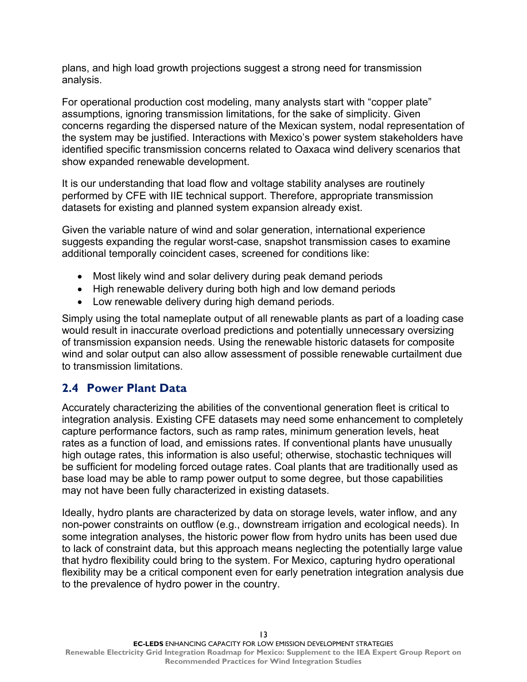plans, and high load growth projections suggest a strong need for transmission analysis.

For operational production cost modeling, many analysts start with "copper plate" assumptions, ignoring transmission limitations, for the sake of simplicity. Given concerns regarding the dispersed nature of the Mexican system, nodal representation of the system may be justified. Interactions with Mexico's power system stakeholders have identified specific transmission concerns related to Oaxaca wind delivery scenarios that show expanded renewable development.

It is our understanding that load flow and voltage stability analyses are routinely performed by CFE with IIE technical support. Therefore, appropriate transmission datasets for existing and planned system expansion already exist.

Given the variable nature of wind and solar generation, international experience suggests expanding the regular worst-case, snapshot transmission cases to examine additional temporally coincident cases, screened for conditions like:

- Most likely wind and solar delivery during peak demand periods
- High renewable delivery during both high and low demand periods
- Low renewable delivery during high demand periods.

Simply using the total nameplate output of all renewable plants as part of a loading case would result in inaccurate overload predictions and potentially unnecessary oversizing of transmission expansion needs. Using the renewable historic datasets for composite wind and solar output can also allow assessment of possible renewable curtailment due to transmission limitations.

#### <span id="page-17-0"></span>**2.4 Power Plant Data**

Accurately characterizing the abilities of the conventional generation fleet is critical to integration analysis. Existing CFE datasets may need some enhancement to completely capture performance factors, such as ramp rates, minimum generation levels, heat rates as a function of load, and emissions rates. If conventional plants have unusually high outage rates, this information is also useful; otherwise, stochastic techniques will be sufficient for modeling forced outage rates. Coal plants that are traditionally used as base load may be able to ramp power output to some degree, but those capabilities may not have been fully characterized in existing datasets.

Ideally, hydro plants are characterized by data on storage levels, water inflow, and any non-power constraints on outflow (e.g., downstream irrigation and ecological needs). In some integration analyses, the historic power flow from hydro units has been used due to lack of constraint data, but this approach means neglecting the potentially large value that hydro flexibility could bring to the system. For Mexico, capturing hydro operational flexibility may be a critical component even for early penetration integration analysis due to the prevalence of hydro power in the country.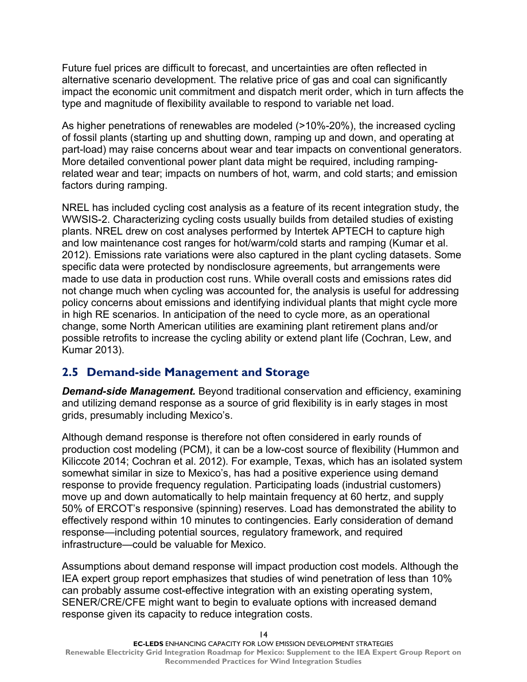Future fuel prices are difficult to forecast, and uncertainties are often reflected in alternative scenario development. The relative price of gas and coal can significantly impact the economic unit commitment and dispatch merit order, which in turn affects the type and magnitude of flexibility available to respond to variable net load.

As higher penetrations of renewables are modeled (>10%-20%), the increased cycling of fossil plants (starting up and shutting down, ramping up and down, and operating at part-load) may raise concerns about wear and tear impacts on conventional generators. More detailed conventional power plant data might be required, including rampingrelated wear and tear; impacts on numbers of hot, warm, and cold starts; and emission factors during ramping.

NREL has included cycling cost analysis as a feature of its recent integration study, the WWSIS-2. Characterizing cycling costs usually builds from detailed studies of existing plants. NREL drew on cost analyses performed by Intertek APTECH to capture high and low maintenance cost ranges for hot/warm/cold starts and ramping (Kumar et al. 2012). Emissions rate variations were also captured in the plant cycling datasets. Some specific data were protected by nondisclosure agreements, but arrangements were made to use data in production cost runs. While overall costs and emissions rates did not change much when cycling was accounted for, the analysis is useful for addressing policy concerns about emissions and identifying individual plants that might cycle more in high RE scenarios. In anticipation of the need to cycle more, as an operational change, some North American utilities are examining plant retirement plans and/or possible retrofits to increase the cycling ability or extend plant life (Cochran, Lew, and Kumar 2013).

#### <span id="page-18-0"></span>**2.5 Demand-side Management and Storage**

*Demand-side Management.* Beyond traditional conservation and efficiency, examining and utilizing demand response as a source of grid flexibility is in early stages in most grids, presumably including Mexico's.

Although demand response is therefore not often considered in early rounds of production cost modeling (PCM), it can be a low-cost source of flexibility (Hummon and Kiliccote 2014; Cochran et al. 2012). For example, Texas, which has an isolated system somewhat similar in size to Mexico's, has had a positive experience using demand response to provide frequency regulation. Participating loads (industrial customers) move up and down automatically to help maintain frequency at 60 hertz, and supply 50% of ERCOT's responsive (spinning) reserves. Load has demonstrated the ability to effectively respond within 10 minutes to contingencies. Early consideration of demand response—including potential sources, regulatory framework, and required infrastructure—could be valuable for Mexico.

Assumptions about demand response will impact production cost models. Although the IEA expert group report emphasizes that studies of wind penetration of less than 10% can probably assume cost-effective integration with an existing operating system, SENER/CRE/CFE might want to begin to evaluate options with increased demand response given its capacity to reduce integration costs.

14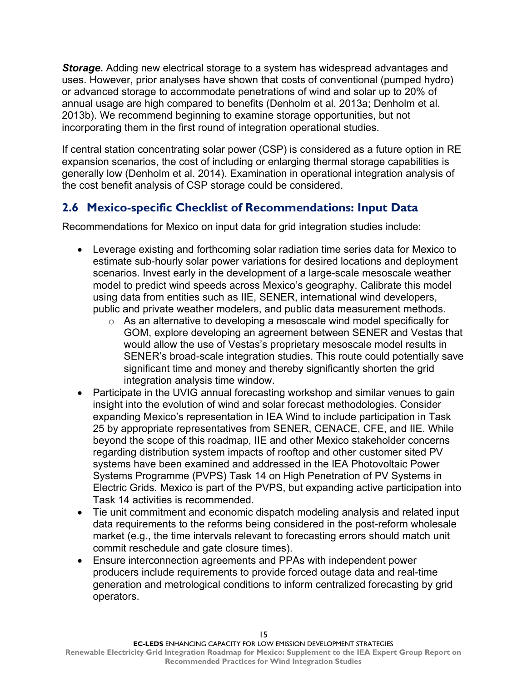*Storage.* Adding new electrical storage to a system has widespread advantages and uses. However, prior analyses have shown that costs of conventional (pumped hydro) or advanced storage to accommodate penetrations of wind and solar up to 20% of annual usage are high compared to benefits (Denholm et al. 2013a; Denholm et al. 2013b). We recommend beginning to examine storage opportunities, but not incorporating them in the first round of integration operational studies.

If central station concentrating solar power (CSP) is considered as a future option in RE expansion scenarios, the cost of including or enlarging thermal storage capabilities is generally low (Denholm et al. 2014). Examination in operational integration analysis of the cost benefit analysis of CSP storage could be considered.

### <span id="page-19-0"></span>**2.6 Mexico-specific Checklist of Recommendations: Input Data**

Recommendations for Mexico on input data for grid integration studies include:

- Leverage existing and forthcoming solar radiation time series data for Mexico to estimate sub-hourly solar power variations for desired locations and deployment scenarios. Invest early in the development of a large-scale mesoscale weather model to predict wind speeds across Mexico's geography. Calibrate this model using data from entities such as IIE, SENER, international wind developers, public and private weather modelers, and public data measurement methods.
	- o As an alternative to developing a mesoscale wind model specifically for GOM, explore developing an agreement between SENER and Vestas that would allow the use of Vestas's proprietary mesoscale model results in SENER's broad-scale integration studies. This route could potentially save significant time and money and thereby significantly shorten the grid integration analysis time window.
- Participate in the UVIG annual forecasting workshop and similar venues to gain insight into the evolution of wind and solar forecast methodologies. Consider expanding Mexico's representation in IEA Wind to include participation in Task 25 by appropriate representatives from SENER, CENACE, CFE, and IIE. While beyond the scope of this roadmap, IIE and other Mexico stakeholder concerns regarding distribution system impacts of rooftop and other customer sited PV systems have been examined and addressed in the IEA Photovoltaic Power Systems Programme (PVPS) Task 14 on High Penetration of PV Systems in Electric Grids. Mexico is part of the PVPS, but expanding active participation into Task 14 activities is recommended.
- Tie unit commitment and economic dispatch modeling analysis and related input data requirements to the reforms being considered in the post-reform wholesale market (e.g., the time intervals relevant to forecasting errors should match unit commit reschedule and gate closure times).
- Ensure interconnection agreements and PPAs with independent power producers include requirements to provide forced outage data and real-time generation and metrological conditions to inform centralized forecasting by grid operators.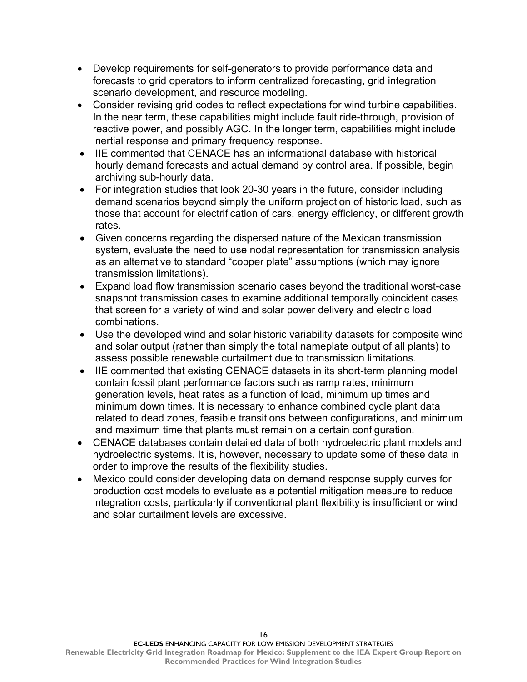- Develop requirements for self-generators to provide performance data and forecasts to grid operators to inform centralized forecasting, grid integration scenario development, and resource modeling.
- Consider revising grid codes to reflect expectations for wind turbine capabilities. In the near term, these capabilities might include fault ride-through, provision of reactive power, and possibly AGC. In the longer term, capabilities might include inertial response and primary frequency response.
- IIE commented that CENACE has an informational database with historical hourly demand forecasts and actual demand by control area. If possible, begin archiving sub-hourly data.
- For integration studies that look 20-30 years in the future, consider including demand scenarios beyond simply the uniform projection of historic load, such as those that account for electrification of cars, energy efficiency, or different growth rates.
- Given concerns regarding the dispersed nature of the Mexican transmission system, evaluate the need to use nodal representation for transmission analysis as an alternative to standard "copper plate" assumptions (which may ignore transmission limitations).
- Expand load flow transmission scenario cases beyond the traditional worst-case snapshot transmission cases to examine additional temporally coincident cases that screen for a variety of wind and solar power delivery and electric load combinations.
- Use the developed wind and solar historic variability datasets for composite wind and solar output (rather than simply the total nameplate output of all plants) to assess possible renewable curtailment due to transmission limitations.
- IIE commented that existing CENACE datasets in its short-term planning model contain fossil plant performance factors such as ramp rates, minimum generation levels, heat rates as a function of load, minimum up times and minimum down times. It is necessary to enhance combined cycle plant data related to dead zones, feasible transitions between configurations, and minimum and maximum time that plants must remain on a certain configuration.
- CENACE databases contain detailed data of both hydroelectric plant models and hydroelectric systems. It is, however, necessary to update some of these data in order to improve the results of the flexibility studies.
- Mexico could consider developing data on demand response supply curves for production cost models to evaluate as a potential mitigation measure to reduce integration costs, particularly if conventional plant flexibility is insufficient or wind and solar curtailment levels are excessive.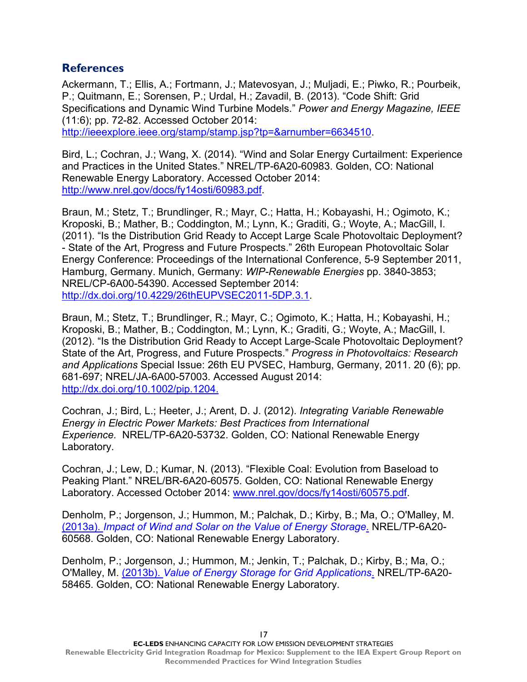#### <span id="page-21-0"></span>**References**

Ackermann, T.; Ellis, A.; Fortmann, J.; Matevosyan, J.; Muljadi, E.; Piwko, R.; Pourbeik, P.; Quitmann, E.; Sorensen, P.; Urdal, H.; Zavadil, B. (2013). "Code Shift: Grid Specifications and Dynamic Wind Turbine Models." *Power and Energy Magazine, IEEE* (11:6); pp. 72-82. Accessed October 2014: [http://ieeexplore.ieee.org/stamp/stamp.jsp?tp=&arnumber=6634510.](http://ieeexplore.ieee.org/stamp/stamp.jsp?tp=&arnumber=6634510)

Bird, L.; Cochran, J.; Wang, X. (2014). "Wind and Solar Energy Curtailment: Experience and Practices in the United States." NREL/TP-6A20-60983. Golden, CO: National Renewable Energy Laboratory. Accessed October 2014: [http://www.nrel.gov/docs/fy14osti/60983.pdf.](http://www.nrel.gov/docs/fy14osti/60983.pdf)

Braun, M.; Stetz, T.; Brundlinger, R.; Mayr, C.; Hatta, H.; Kobayashi, H.; Ogimoto, K.; Kroposki, B.; Mather, B.; Coddington, M.; Lynn, K.; Graditi, G.; Woyte, A.; MacGill, I. (2011). "Is the Distribution Grid Ready to Accept Large Scale Photovoltaic Deployment? - State of the Art, Progress and Future Prospects." 26th European Photovoltaic Solar Energy Conference: Proceedings of the International Conference, 5-9 September 2011, Hamburg, Germany. Munich, Germany: *WIP-Renewable Energies* pp. 3840-3853; NREL/CP-6A00-54390. Accessed September 2014: [http://dx.doi.org/10.4229/26thEUPVSEC2011-5DP.3.1.](http://dx.doi.org/10.4229/26thEUPVSEC2011-5DP.3.1)

Braun, M.; Stetz, T.; Brundlinger, R.; Mayr, C.; Ogimoto, K.; Hatta, H.; Kobayashi, H.; Kroposki, B.; Mather, B.; Coddington, M.; Lynn, K.; Graditi, G.; Woyte, A.; MacGill, I. (2012). "Is the Distribution Grid Ready to Accept Large-Scale Photovoltaic Deployment? State of the Art, Progress, and Future Prospects." *Progress in Photovoltaics: Research and Applications* Special Issue: 26th EU PVSEC, Hamburg, Germany, 2011. 20 (6); pp. 681-697; NREL/JA-6A00-57003. Accessed August 2014: [http://dx.doi.org/10.1002/pip.1204.](http://dx.doi.org/10.1002/pip.1204)

Cochran, J.; Bird, L.; Heeter, J.; Arent, D. J. (2012). *Integrating Variable Renewable Energy in Electric Power Markets: Best Practices from International Experience.* NREL/TP-6A20-53732. Golden, CO: National Renewable Energy Laboratory.

Cochran, J.; Lew, D.; Kumar, N. (2013). "Flexible Coal: Evolution from Baseload to Peaking Plant." NREL/BR-6A20-60575. Golden, CO: National Renewable Energy Laboratory. Accessed October 2014: [www.nrel.gov/docs/fy14osti/60575.pdf.](http://www.nrel.gov/docs/fy14osti/60575.pdf)

Denholm, P.; Jorgenson, J.; Hummon, M.; Palchak, D.; Kirby, B.; Ma, O.; O'Malley, M. (2013a). *[Impact of Wind and Solar on the Value of Energy Storage](http://nrelpubs.nrel.gov/Webtop/ws/nich/www/public/Record?rpp=25&upp=0&m=14&w=NATIVE%28%27KEYWORD2+ph+words+%27%27storage+value%27%27+and+AUTHOR+ph+words+%27%27denholm%27%27+and+PUBYEAR+%3E+2010%27%29&order=native%28%27pubyear%2FDescend%27%29)*. NREL/TP-6A20- 60568. Golden, CO: National Renewable Energy Laboratory.

Denholm, P.; Jorgenson, J.; Hummon, M.; Jenkin, T.; Palchak, D.; Kirby, B.; Ma, O.; O'Malley, M. (2013b). *[Value of Energy Storage for Grid Applications](http://nrelpubs.nrel.gov/Webtop/ws/nich/www/public/Record?rpp=25&upp=0&m=7&w=NATIVE%28%27KEYWORD2+ph+words+%27%27storage+value%27%27+and+AUTHOR+ph+words+%27%27denholm%27%27+and+PUBYEAR+%3E+2010%27%29&order=native%28%27pubyear%2FDescend%27%29)*. NREL/TP-6A20- 58465. Golden, CO: National Renewable Energy Laboratory.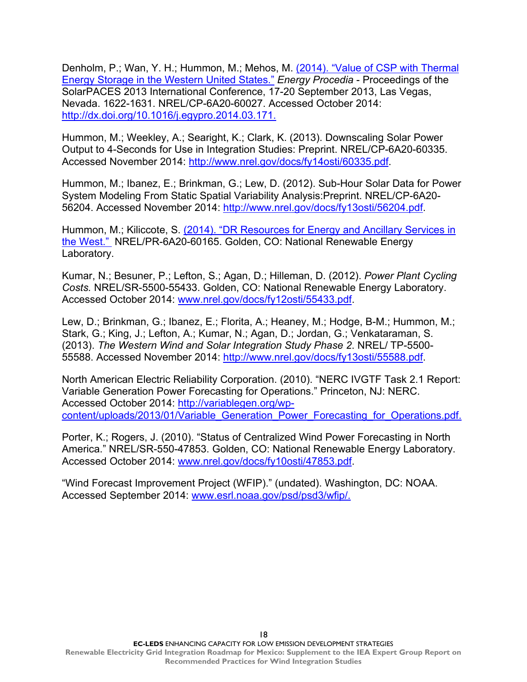Denholm, P.; Wan, Y. H.; Hummon, M.; Mehos, M. (2014). "Value of CSP with Thermal [Energy Storage in the Western United States."](http://nrelpubs.nrel.gov/Webtop/ws/nich/www/public/Record?rpp=25&upp=0&m=1&w=NATIVE%28%27KEYWORD2+ph+words+%27%27storage+value%27%27+and+AUTHOR+ph+words+%27%27denholm%27%27+and+PUBYEAR+%3E+2010%27%29&order=native%28%27pubyear%2FDescend%27%29) *Energy Procedia* - Proceedings of the SolarPACES 2013 International Conference, 17-20 September 2013, Las Vegas, Nevada. 1622-1631. NREL/CP-6A20-60027. Accessed October 2014: [http://dx.doi.org/10.1016/j.egypro.2014.03.171.](http://dx.doi.org/10.1016/j.egypro.2014.03.171)

Hummon, M.; Weekley, A.; Searight, K.; Clark, K. (2013). Downscaling Solar Power Output to 4-Seconds for Use in Integration Studies: Preprint. NREL/CP-6A20-60335. Accessed November 2014: [http://www.nrel.gov/docs/fy14osti/60335.pdf.](http://www.nrel.gov/docs/fy14osti/60335.pdf)

Hummon, M.; Ibanez, E.; Brinkman, G.; Lew, D. (2012). Sub-Hour Solar Data for Power System Modeling From Static Spatial Variability Analysis:Preprint. NREL/CP-6A20- 56204. Accessed November 2014: [http://www.nrel.gov/docs/fy13osti/56204.pdf.](http://www.nrel.gov/docs/fy13osti/56204.pdf)

Hummon, M.; Kiliccote, S. [\(2014\). "DR Resources for Energy and Ancillary Services in](http://nrelpubs.nrel.gov/WebtopSecure/ws/nich/int/nrel/Record?rpp=25&upp=0&m=2&w=NATIVE%28%27AUTHOR+ph+words+%27%27hummon%27%27%27%29&order=native%28%27pubyear%2FDescend%27%29)  [the West."](http://nrelpubs.nrel.gov/WebtopSecure/ws/nich/int/nrel/Record?rpp=25&upp=0&m=2&w=NATIVE%28%27AUTHOR+ph+words+%27%27hummon%27%27%27%29&order=native%28%27pubyear%2FDescend%27%29) NREL/PR-6A20-60165. Golden, CO: National Renewable Energy Laboratory.

Kumar, N.; Besuner, P.; Lefton, S.; Agan, D.; Hilleman, D. (2012). *Power Plant Cycling Costs.* NREL/SR-5500-55433. Golden, CO: National Renewable Energy Laboratory. Accessed October 2014: [www.nrel.gov/docs/fy12osti/55433.pdf.](http://www.nrel.gov/docs/fy12osti/55433.pdf)

Lew, D.; Brinkman, G.; Ibanez, E.; Florita, A.; Heaney, M.; Hodge, B-M.; Hummon, M.; Stark, G.; King, J.; Lefton, A.; Kumar, N.; Agan, D.; Jordan, G.; Venkataraman, S. (2013). *The Western Wind and Solar Integration Study Phase 2*. NREL/ TP-5500- 55588. Accessed November 2014: [http://www.nrel.gov/docs/fy13osti/55588.pdf.](http://www.nrel.gov/docs/fy13osti/55588.pdf)

North American Electric Reliability Corporation. (2010). "NERC IVGTF Task 2.1 Report: Variable Generation Power Forecasting for Operations." Princeton, NJ: NERC. Accessed October 2014: [http://variablegen.org/wp](http://variablegen.org/wp-content/uploads/2013/01/Variable_Generation_Power_Forecasting_for_Operations.pdf)[content/uploads/2013/01/Variable\\_Generation\\_Power\\_Forecasting\\_for\\_Operations.pdf.](http://variablegen.org/wp-content/uploads/2013/01/Variable_Generation_Power_Forecasting_for_Operations.pdf)

Porter, K.; Rogers, J. (2010). "Status of Centralized Wind Power Forecasting in North America." NREL/SR-550-47853. Golden, CO: National Renewable Energy Laboratory. Accessed October 2014: [www.nrel.gov/docs/fy10osti/47853.pdf.](http://www.nrel.gov/docs/fy10osti/47853.pdf)

"Wind Forecast Improvement Project (WFIP)." (undated). Washington, DC: NOAA. Accessed September 2014: [www.esrl.noaa.gov/psd/psd3/wfip/.](http://www.esrl.noaa.gov/psd/psd3/wfip/)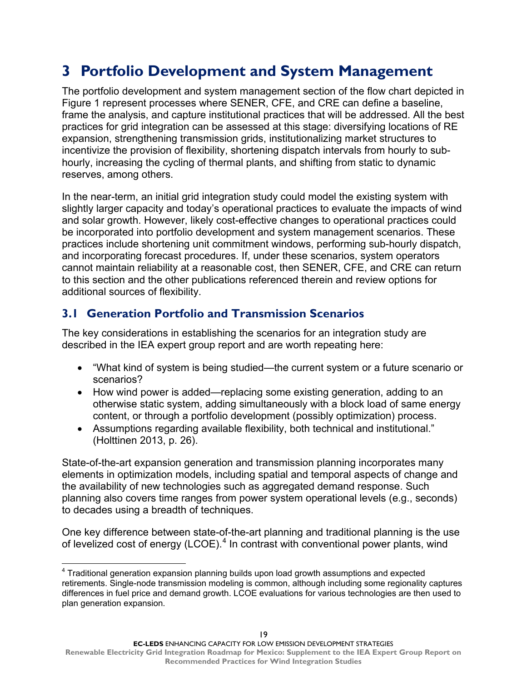# <span id="page-23-0"></span>**3 Portfolio Development and System Management**

The portfolio development and system management section of the flow chart depicted in [Figure 1](#page-9-0) represent processes where SENER, CFE, and CRE can define a baseline, frame the analysis, and capture institutional practices that will be addressed. All the best practices for grid integration can be assessed at this stage: diversifying locations of RE expansion, strengthening transmission grids, institutionalizing market structures to incentivize the provision of flexibility, shortening dispatch intervals from hourly to subhourly, increasing the cycling of thermal plants, and shifting from static to dynamic reserves, among others.

In the near-term, an initial grid integration study could model the existing system with slightly larger capacity and today's operational practices to evaluate the impacts of wind and solar growth. However, likely cost-effective changes to operational practices could be incorporated into portfolio development and system management scenarios. These practices include shortening unit commitment windows, performing sub-hourly dispatch, and incorporating forecast procedures. If, under these scenarios, system operators cannot maintain reliability at a reasonable cost, then SENER, CFE, and CRE can return to this section and the other publications referenced therein and review options for additional sources of flexibility.

### <span id="page-23-1"></span>**3.1 Generation Portfolio and Transmission Scenarios**

The key considerations in establishing the scenarios for an integration study are described in the IEA expert group report and are worth repeating here:

- "What kind of system is being studied—the current system or a future scenario or scenarios?
- How wind power is added—replacing some existing generation, adding to an otherwise static system, adding simultaneously with a block load of same energy content, or through a portfolio development (possibly optimization) process.
- Assumptions regarding available flexibility, both technical and institutional." (Holttinen 2013, p. 26).

State-of-the-art expansion generation and transmission planning incorporates many elements in optimization models, including spatial and temporal aspects of change and the availability of new technologies such as aggregated demand response. Such planning also covers time ranges from power system operational levels (e.g., seconds) to decades using a breadth of techniques.

One key difference between state-of-the-art planning and traditional planning is the use of levelized cost of energy (LCOE).<sup>[4](#page-23-2)</sup> In contrast with conventional power plants, wind

<span id="page-23-2"></span> $\overline{a}$  $4$  Traditional generation expansion planning builds upon load growth assumptions and expected retirements. Single-node transmission modeling is common, although including some regionality captures differences in fuel price and demand growth. LCOE evaluations for various technologies are then used to plan generation expansion.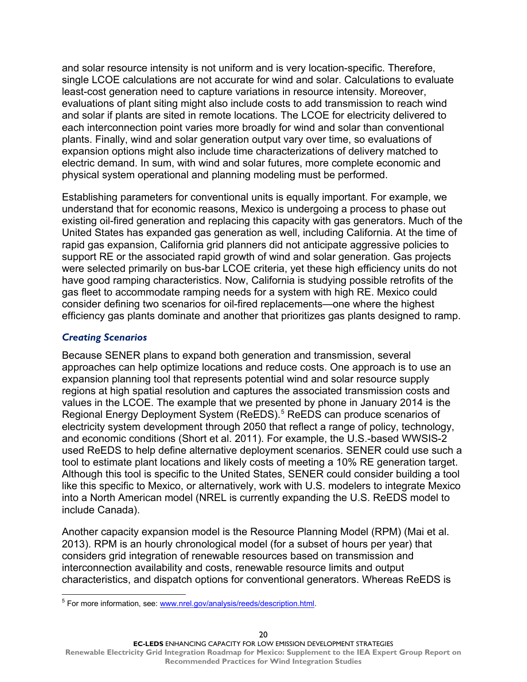and solar resource intensity is not uniform and is very location-specific. Therefore, single LCOE calculations are not accurate for wind and solar. Calculations to evaluate least-cost generation need to capture variations in resource intensity. Moreover, evaluations of plant siting might also include costs to add transmission to reach wind and solar if plants are sited in remote locations. The LCOE for electricity delivered to each interconnection point varies more broadly for wind and solar than conventional plants. Finally, wind and solar generation output vary over time, so evaluations of expansion options might also include time characterizations of delivery matched to electric demand. In sum, with wind and solar futures, more complete economic and physical system operational and planning modeling must be performed.

Establishing parameters for conventional units is equally important. For example, we understand that for economic reasons, Mexico is undergoing a process to phase out existing oil-fired generation and replacing this capacity with gas generators. Much of the United States has expanded gas generation as well, including California. At the time of rapid gas expansion, California grid planners did not anticipate aggressive policies to support RE or the associated rapid growth of wind and solar generation. Gas projects were selected primarily on bus-bar LCOE criteria, yet these high efficiency units do not have good ramping characteristics. Now, California is studying possible retrofits of the gas fleet to accommodate ramping needs for a system with high RE. Mexico could consider defining two scenarios for oil-fired replacements—one where the highest efficiency gas plants dominate and another that prioritizes gas plants designed to ramp.

#### *Creating Scenarios*

Because SENER plans to expand both generation and transmission, several approaches can help optimize locations and reduce costs. One approach is to use an expansion planning tool that represents potential wind and solar resource supply regions at high spatial resolution and captures the associated transmission costs and values in the LCOE. The example that we presented by phone in January 2014 is the Regional Energy Deployment System (ReEDS).[5](#page-24-0) ReEDS can produce scenarios of electricity system development through 2050 that reflect a range of policy, technology, and economic conditions (Short et al. 2011). For example, the U.S.-based WWSIS-2 used ReEDS to help define alternative deployment scenarios. SENER could use such a tool to estimate plant locations and likely costs of meeting a 10% RE generation target. Although this tool is specific to the United States, SENER could consider building a tool like this specific to Mexico, or alternatively, work with U.S. modelers to integrate Mexico into a North American model (NREL is currently expanding the U.S. ReEDS model to include Canada).

Another capacity expansion model is the Resource Planning Model (RPM) (Mai et al. 2013). RPM is an hourly chronological model (for a subset of hours per year) that considers grid integration of renewable resources based on transmission and interconnection availability and costs, renewable resource limits and output characteristics, and dispatch options for conventional generators. Whereas ReEDS is

20

<span id="page-24-0"></span> $\overline{a}$ <sup>5</sup> For more information, see: www.nrel.gov/analysis/reeds/description.html.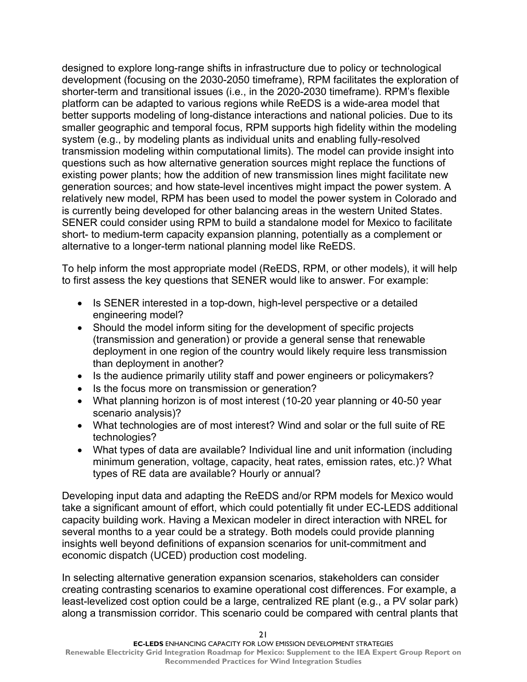designed to explore long-range shifts in infrastructure due to policy or technological development (focusing on the 2030-2050 timeframe), RPM facilitates the exploration of shorter-term and transitional issues (i.e., in the 2020-2030 timeframe). RPM's flexible platform can be adapted to various regions while ReEDS is a wide-area model that better supports modeling of long-distance interactions and national policies. Due to its smaller geographic and temporal focus, RPM supports high fidelity within the modeling system (e.g., by modeling plants as individual units and enabling fully-resolved transmission modeling within computational limits). The model can provide insight into questions such as how alternative generation sources might replace the functions of existing power plants; how the addition of new transmission lines might facilitate new generation sources; and how state-level incentives might impact the power system. A relatively new model, RPM has been used to model the power system in Colorado and is currently being developed for other balancing areas in the western United States. SENER could consider using RPM to build a standalone model for Mexico to facilitate short- to medium-term capacity expansion planning, potentially as a complement or alternative to a longer-term national planning model like ReEDS.

To help inform the most appropriate model (ReEDS, RPM, or other models), it will help to first assess the key questions that SENER would like to answer. For example:

- Is SENER interested in a top-down, high-level perspective or a detailed engineering model?
- Should the model inform siting for the development of specific projects (transmission and generation) or provide a general sense that renewable deployment in one region of the country would likely require less transmission than deployment in another?
- Is the audience primarily utility staff and power engineers or policymakers?
- Is the focus more on transmission or generation?
- What planning horizon is of most interest (10-20 year planning or 40-50 year scenario analysis)?
- What technologies are of most interest? Wind and solar or the full suite of RE technologies?
- What types of data are available? Individual line and unit information (including minimum generation, voltage, capacity, heat rates, emission rates, etc.)? What types of RE data are available? Hourly or annual?

Developing input data and adapting the ReEDS and/or RPM models for Mexico would take a significant amount of effort, which could potentially fit under EC-LEDS additional capacity building work. Having a Mexican modeler in direct interaction with NREL for several months to a year could be a strategy. Both models could provide planning insights well beyond definitions of expansion scenarios for unit-commitment and economic dispatch (UCED) production cost modeling.

In selecting alternative generation expansion scenarios, stakeholders can consider creating contrasting scenarios to examine operational cost differences. For example, a least-levelized cost option could be a large, centralized RE plant (e.g., a PV solar park) along a transmission corridor. This scenario could be compared with central plants that

21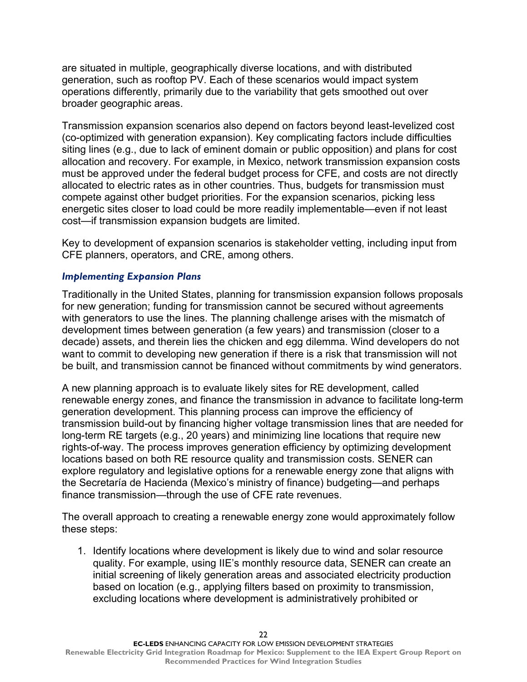are situated in multiple, geographically diverse locations, and with distributed generation, such as rooftop PV. Each of these scenarios would impact system operations differently, primarily due to the variability that gets smoothed out over broader geographic areas.

Transmission expansion scenarios also depend on factors beyond least-levelized cost (co-optimized with generation expansion). Key complicating factors include difficulties siting lines (e.g., due to lack of eminent domain or public opposition) and plans for cost allocation and recovery. For example, in Mexico, network transmission expansion costs must be approved under the federal budget process for CFE, and costs are not directly allocated to electric rates as in other countries. Thus, budgets for transmission must compete against other budget priorities. For the expansion scenarios, picking less energetic sites closer to load could be more readily implementable—even if not least cost—if transmission expansion budgets are limited.

Key to development of expansion scenarios is stakeholder vetting, including input from CFE planners, operators, and CRE, among others.

#### *Implementing Expansion Plans*

Traditionally in the United States, planning for transmission expansion follows proposals for new generation; funding for transmission cannot be secured without agreements with generators to use the lines. The planning challenge arises with the mismatch of development times between generation (a few years) and transmission (closer to a decade) assets, and therein lies the chicken and egg dilemma. Wind developers do not want to commit to developing new generation if there is a risk that transmission will not be built, and transmission cannot be financed without commitments by wind generators.

A new planning approach is to evaluate likely sites for RE development, called renewable energy zones, and finance the transmission in advance to facilitate long-term generation development. This planning process can improve the efficiency of transmission build-out by financing higher voltage transmission lines that are needed for long-term RE targets (e.g., 20 years) and minimizing line locations that require new rights-of-way. The process improves generation efficiency by optimizing development locations based on both RE resource quality and transmission costs. SENER can explore regulatory and legislative options for a renewable energy zone that aligns with the Secretaría de Hacienda (Mexico's ministry of finance) budgeting—and perhaps finance transmission—through the use of CFE rate revenues.

The overall approach to creating a renewable energy zone would approximately follow these steps:

1. Identify locations where development is likely due to wind and solar resource quality. For example, using IIE's monthly resource data, SENER can create an initial screening of likely generation areas and associated electricity production based on location (e.g., applying filters based on proximity to transmission, excluding locations where development is administratively prohibited or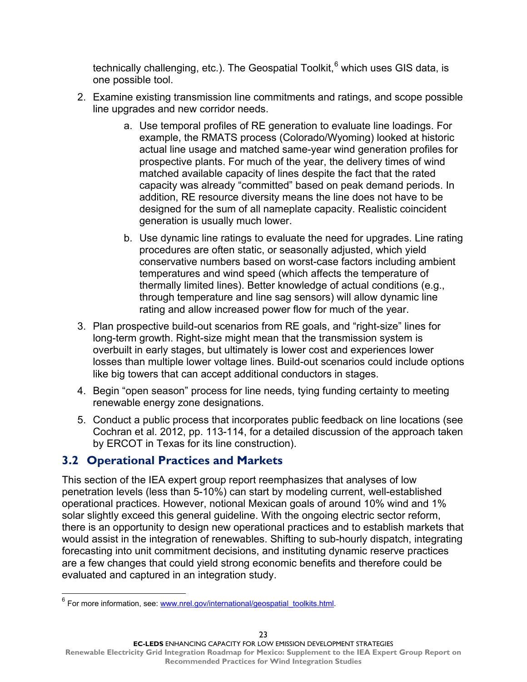technically challenging, etc.). The Geospatial Toolkit,  $6$  which uses GIS data, is one possible tool.

- 2. Examine existing transmission line commitments and ratings, and scope possible line upgrades and new corridor needs.
	- a. Use temporal profiles of RE generation to evaluate line loadings. For example, the RMATS process (Colorado/Wyoming) looked at historic actual line usage and matched same-year wind generation profiles for prospective plants. For much of the year, the delivery times of wind matched available capacity of lines despite the fact that the rated capacity was already "committed" based on peak demand periods. In addition, RE resource diversity means the line does not have to be designed for the sum of all nameplate capacity. Realistic coincident generation is usually much lower.
	- b. Use dynamic line ratings to evaluate the need for upgrades. Line rating procedures are often static, or seasonally adjusted, which yield conservative numbers based on worst-case factors including ambient temperatures and wind speed (which affects the temperature of thermally limited lines). Better knowledge of actual conditions (e.g., through temperature and line sag sensors) will allow dynamic line rating and allow increased power flow for much of the year.
- 3. Plan prospective build-out scenarios from RE goals, and "right-size" lines for long-term growth. Right-size might mean that the transmission system is overbuilt in early stages, but ultimately is lower cost and experiences lower losses than multiple lower voltage lines. Build-out scenarios could include options like big towers that can accept additional conductors in stages.
- 4. Begin "open season" process for line needs, tying funding certainty to meeting renewable energy zone designations.
- 5. Conduct a public process that incorporates public feedback on line locations (see Cochran et al. 2012, pp. 113-114, for a detailed discussion of the approach taken by ERCOT in Texas for its line construction).

### <span id="page-27-0"></span>**3.2 Operational Practices and Markets**

 $\overline{a}$ 

This section of the IEA expert group report reemphasizes that analyses of low penetration levels (less than 5-10%) can start by modeling current, well-established operational practices. However, notional Mexican goals of around 10% wind and 1% solar slightly exceed this general guideline. With the ongoing electric sector reform, there is an opportunity to design new operational practices and to establish markets that would assist in the integration of renewables. Shifting to sub-hourly dispatch, integrating forecasting into unit commitment decisions, and instituting dynamic reserve practices are a few changes that could yield strong economic benefits and therefore could be evaluated and captured in an integration study.

23

<span id="page-27-1"></span><sup>&</sup>lt;sup>6</sup> For more information, see: www.nrel.gov/international/geospatial toolkits.html.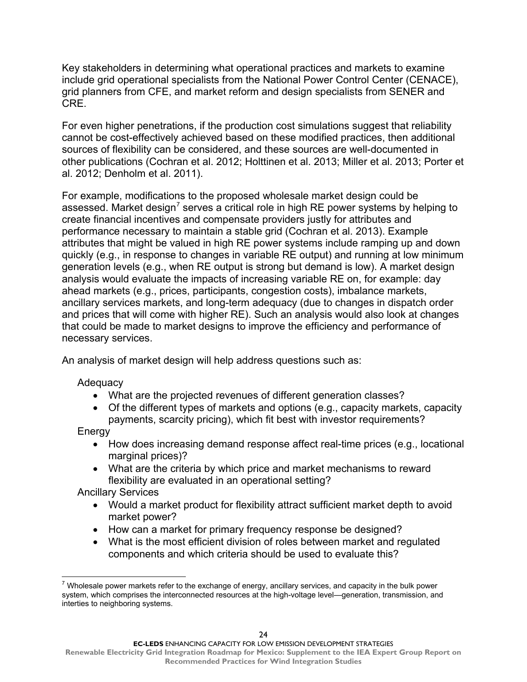Key stakeholders in determining what operational practices and markets to examine include grid operational specialists from the National Power Control Center (CENACE), grid planners from CFE, and market reform and design specialists from SENER and CRE.

For even higher penetrations, if the production cost simulations suggest that reliability cannot be cost-effectively achieved based on these modified practices, then additional sources of flexibility can be considered, and these sources are well-documented in other publications (Cochran et al. 2012; Holttinen et al. 2013; Miller et al. 2013; Porter et al. 2012; Denholm et al. 2011).

For example, modifications to the proposed wholesale market design could be assessed. Market design<sup>[7](#page-28-0)</sup> serves a critical role in high RE power systems by helping to create financial incentives and compensate providers justly for attributes and performance necessary to maintain a stable grid (Cochran et al. 2013). Example attributes that might be valued in high RE power systems include ramping up and down quickly (e.g., in response to changes in variable RE output) and running at low minimum generation levels (e.g., when RE output is strong but demand is low). A market design analysis would evaluate the impacts of increasing variable RE on, for example: day ahead markets (e.g., prices, participants, congestion costs), imbalance markets, ancillary services markets, and long-term adequacy (due to changes in dispatch order and prices that will come with higher RE). Such an analysis would also look at changes that could be made to market designs to improve the efficiency and performance of necessary services.

An analysis of market design will help address questions such as:

Adequacy

- What are the projected revenues of different generation classes?
- Of the different types of markets and options (e.g., capacity markets, capacity payments, scarcity pricing), which fit best with investor requirements?

**Energy** 

- How does increasing demand response affect real-time prices (e.g., locational marginal prices)?
- What are the criteria by which price and market mechanisms to reward flexibility are evaluated in an operational setting?

Ancillary Services

- Would a market product for flexibility attract sufficient market depth to avoid market power?
- How can a market for primary frequency response be designed?
- What is the most efficient division of roles between market and regulated components and which criteria should be used to evaluate this?

<span id="page-28-0"></span> $\overline{a}$  $7$  Wholesale power markets refer to the exchange of energy, ancillary services, and capacity in the bulk power system, which comprises the interconnected resources at the high-voltage level—generation, transmission, and interties to neighboring systems.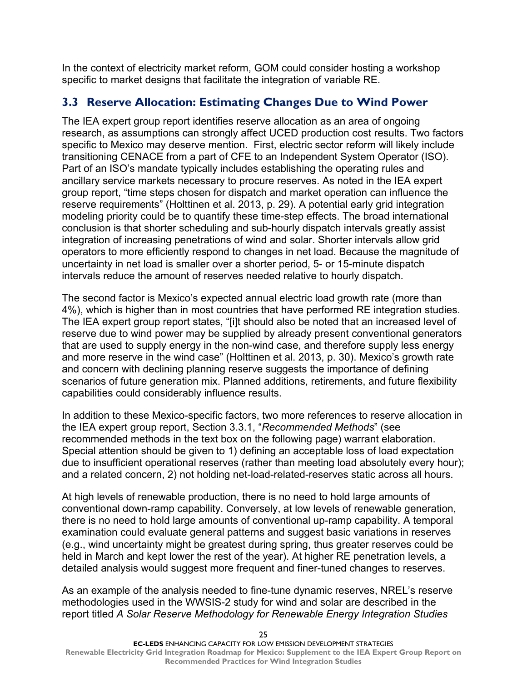In the context of electricity market reform, GOM could consider hosting a workshop specific to market designs that facilitate the integration of variable RE.

### <span id="page-29-0"></span>**3.3 Reserve Allocation: Estimating Changes Due to Wind Power**

The IEA expert group report identifies reserve allocation as an area of ongoing research, as assumptions can strongly affect UCED production cost results. Two factors specific to Mexico may deserve mention. First, electric sector reform will likely include transitioning CENACE from a part of CFE to an Independent System Operator (ISO). Part of an ISO's mandate typically includes establishing the operating rules and ancillary service markets necessary to procure reserves. As noted in the IEA expert group report, "time steps chosen for dispatch and market operation can influence the reserve requirements" (Holttinen et al. 2013, p. 29). A potential early grid integration modeling priority could be to quantify these time-step effects. The broad international conclusion is that shorter scheduling and sub-hourly dispatch intervals greatly assist integration of increasing penetrations of wind and solar. Shorter intervals allow grid operators to more efficiently respond to changes in net load. Because the magnitude of uncertainty in net load is smaller over a shorter period, 5- or 15-minute dispatch intervals reduce the amount of reserves needed relative to hourly dispatch.

The second factor is Mexico's expected annual electric load growth rate (more than 4%), which is higher than in most countries that have performed RE integration studies. The IEA expert group report states, "[i]t should also be noted that an increased level of reserve due to wind power may be supplied by already present conventional generators that are used to supply energy in the non-wind case, and therefore supply less energy and more reserve in the wind case" (Holttinen et al. 2013, p. 30). Mexico's growth rate and concern with declining planning reserve suggests the importance of defining scenarios of future generation mix. Planned additions, retirements, and future flexibility capabilities could considerably influence results.

In addition to these Mexico-specific factors, two more references to reserve allocation in the IEA expert group report, Section 3.3.1, "*Recommended Methods*" (see recommended methods in the text box on the following page) warrant elaboration. Special attention should be given to 1) defining an acceptable loss of load expectation due to insufficient operational reserves (rather than meeting load absolutely every hour); and a related concern, 2) not holding net-load-related-reserves static across all hours.

At high levels of renewable production, there is no need to hold large amounts of conventional down-ramp capability. Conversely, at low levels of renewable generation, there is no need to hold large amounts of conventional up-ramp capability. A temporal examination could evaluate general patterns and suggest basic variations in reserves (e.g., wind uncertainty might be greatest during spring, thus greater reserves could be held in March and kept lower the rest of the year). At higher RE penetration levels, a detailed analysis would suggest more frequent and finer-tuned changes to reserves.

As an example of the analysis needed to fine-tune dynamic reserves, NREL's reserve methodologies used in the WWSIS-2 study for wind and solar are described in the report titled *A Solar Reserve Methodology for Renewable Energy Integration Studies* 

 $25$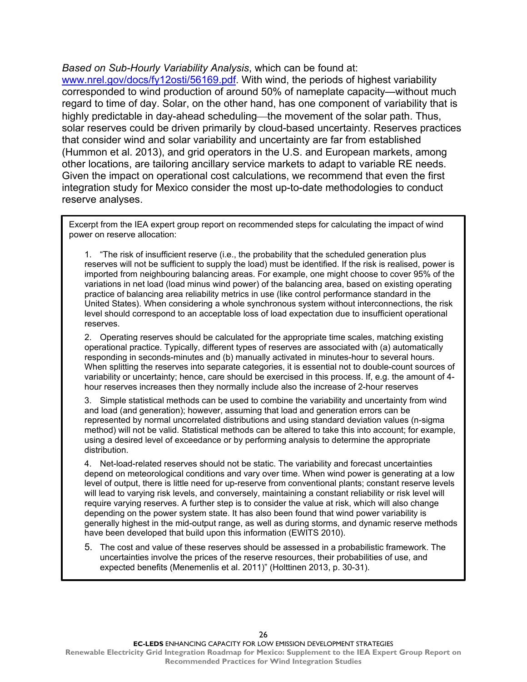*Based on Sub-Hourly Variability Analysis*, which can be found at:

[www.nrel.gov/docs/fy12osti/56169.pdf.](http://www.nrel.gov/docs/fy12osti/56169.pdf) With wind, the periods of highest variability corresponded to wind production of around 50% of nameplate capacity—without much regard to time of day. Solar, on the other hand, has one component of variability that is highly predictable in day-ahead scheduling—the movement of the solar path. Thus, solar reserves could be driven primarily by cloud-based uncertainty. Reserves practices that consider wind and solar variability and uncertainty are far from established (Hummon et al. 2013), and grid operators in the U.S. and European markets, among other locations, are tailoring ancillary service markets to adapt to variable RE needs. Given the impact on operational cost calculations, we recommend that even the first integration study for Mexico consider the most up-to-date methodologies to conduct reserve analyses.

Excerpt from the IEA expert group report on recommended steps for calculating the impact of wind power on reserve allocation:

1. "The risk of insufficient reserve (i.e., the probability that the scheduled generation plus reserves will not be sufficient to supply the load) must be identified. If the risk is realised, power is imported from neighbouring balancing areas. For example, one might choose to cover 95% of the variations in net load (load minus wind power) of the balancing area, based on existing operating practice of balancing area reliability metrics in use (like control performance standard in the United States). When considering a whole synchronous system without interconnections, the risk level should correspond to an acceptable loss of load expectation due to insufficient operational reserves.

2. Operating reserves should be calculated for the appropriate time scales, matching existing operational practice. Typically, different types of reserves are associated with (a) automatically responding in seconds-minutes and (b) manually activated in minutes-hour to several hours. When splitting the reserves into separate categories, it is essential not to double-count sources of variability or uncertainty; hence, care should be exercised in this process. If, e.g. the amount of 4 hour reserves increases then they normally include also the increase of 2-hour reserves

3. Simple statistical methods can be used to combine the variability and uncertainty from wind and load (and generation); however, assuming that load and generation errors can be represented by normal uncorrelated distributions and using standard deviation values (n-sigma method) will not be valid. Statistical methods can be altered to take this into account; for example, using a desired level of exceedance or by performing analysis to determine the appropriate distribution.

4. Net-load-related reserves should not be static. The variability and forecast uncertainties depend on meteorological conditions and vary over time. When wind power is generating at a low level of output, there is little need for up-reserve from conventional plants; constant reserve levels will lead to varying risk levels, and conversely, maintaining a constant reliability or risk level will require varying reserves. A further step is to consider the value at risk, which will also change depending on the power system state. It has also been found that wind power variability is generally highest in the mid-output range, as well as during storms, and dynamic reserve methods have been developed that build upon this information (EWITS 2010).

5. The cost and value of these reserves should be assessed in a probabilistic framework. The uncertainties involve the prices of the reserve resources, their probabilities of use, and expected benefits (Menemenlis et al. 2011)" (Holttinen 2013, p. 30-31).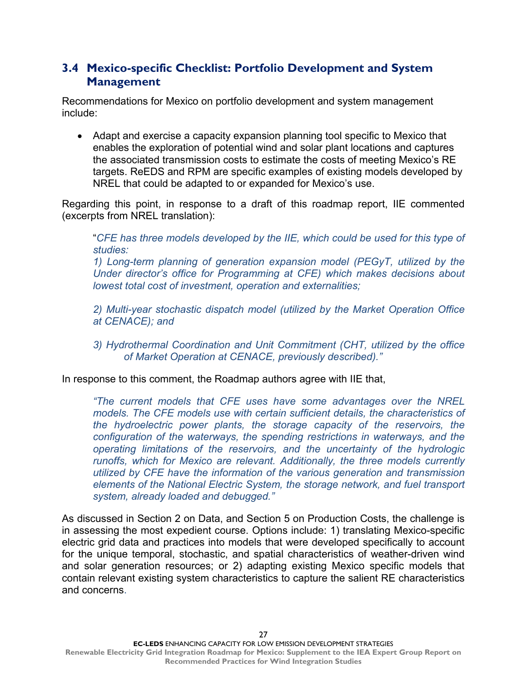### <span id="page-31-0"></span>**3.4 Mexico-specific Checklist: Portfolio Development and System Management**

Recommendations for Mexico on portfolio development and system management include:

• Adapt and exercise a capacity expansion planning tool specific to Mexico that enables the exploration of potential wind and solar plant locations and captures the associated transmission costs to estimate the costs of meeting Mexico's RE targets. ReEDS and RPM are specific examples of existing models developed by NREL that could be adapted to or expanded for Mexico's use.

Regarding this point, in response to a draft of this roadmap report, IIE commented (excerpts from NREL translation):

"*CFE has three models developed by the IIE, which could be used for this type of studies:*

*1) Long-term planning of generation expansion model (PEGyT, utilized by the Under director's office for Programming at CFE) which makes decisions about lowest total cost of investment, operation and externalities;* 

*2) Multi-year stochastic dispatch model (utilized by the Market Operation Office at CENACE); and*

*3) Hydrothermal Coordination and Unit Commitment (CHT, utilized by the office of Market Operation at CENACE, previously described)."* 

In response to this comment, the Roadmap authors agree with IIE that,

*"The current models that CFE uses have some advantages over the NREL models. The CFE models use with certain sufficient details, the characteristics of the hydroelectric power plants, the storage capacity of the reservoirs, the configuration of the waterways, the spending restrictions in waterways, and the operating limitations of the reservoirs, and the uncertainty of the hydrologic runoffs, which for Mexico are relevant. Additionally, the three models currently utilized by CFE have the information of the various generation and transmission elements of the National Electric System, the storage network, and fuel transport system, already loaded and debugged."*

As discussed in Section 2 on Data, and Section 5 on Production Costs, the challenge is in assessing the most expedient course. Options include: 1) translating Mexico-specific electric grid data and practices into models that were developed specifically to account for the unique temporal, stochastic, and spatial characteristics of weather-driven wind and solar generation resources; or 2) adapting existing Mexico specific models that contain relevant existing system characteristics to capture the salient RE characteristics and concerns.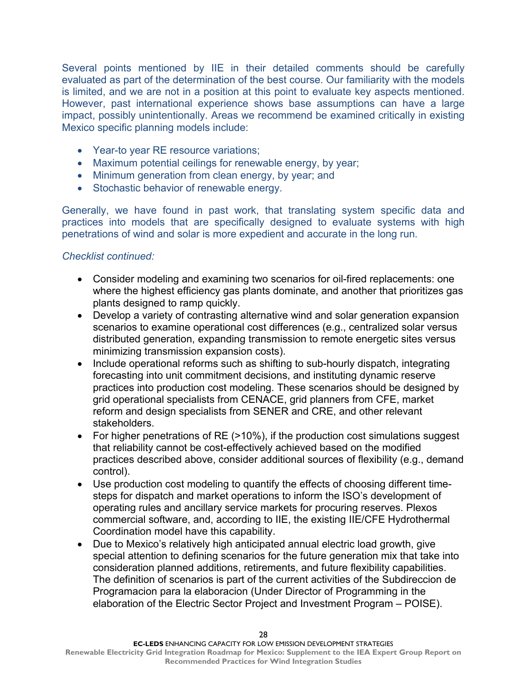Several points mentioned by IIE in their detailed comments should be carefully evaluated as part of the determination of the best course. Our familiarity with the models is limited, and we are not in a position at this point to evaluate key aspects mentioned. However, past international experience shows base assumptions can have a large impact, possibly unintentionally. Areas we recommend be examined critically in existing Mexico specific planning models include:

- Year-to year RE resource variations;
- Maximum potential ceilings for renewable energy, by year;
- Minimum generation from clean energy, by year; and
- Stochastic behavior of renewable energy.

Generally, we have found in past work, that translating system specific data and practices into models that are specifically designed to evaluate systems with high penetrations of wind and solar is more expedient and accurate in the long run*.* 

#### *Checklist continued:*

- Consider modeling and examining two scenarios for oil-fired replacements: one where the highest efficiency gas plants dominate, and another that prioritizes gas plants designed to ramp quickly.
- Develop a variety of contrasting alternative wind and solar generation expansion scenarios to examine operational cost differences (e.g., centralized solar versus distributed generation, expanding transmission to remote energetic sites versus minimizing transmission expansion costs).
- Include operational reforms such as shifting to sub-hourly dispatch, integrating forecasting into unit commitment decisions, and instituting dynamic reserve practices into production cost modeling. These scenarios should be designed by grid operational specialists from CENACE, grid planners from CFE, market reform and design specialists from SENER and CRE, and other relevant stakeholders.
- For higher penetrations of RE (>10%), if the production cost simulations suggest that reliability cannot be cost-effectively achieved based on the modified practices described above, consider additional sources of flexibility (e.g., demand control).
- Use production cost modeling to quantify the effects of choosing different timesteps for dispatch and market operations to inform the ISO's development of operating rules and ancillary service markets for procuring reserves. Plexos commercial software, and, according to IIE, the existing IIE/CFE Hydrothermal Coordination model have this capability.
- Due to Mexico's relatively high anticipated annual electric load growth, give special attention to defining scenarios for the future generation mix that take into consideration planned additions, retirements, and future flexibility capabilities. The definition of scenarios is part of the current activities of the Subdireccion de Programacion para la elaboracion (Under Director of Programming in the elaboration of the Electric Sector Project and Investment Program – POISE).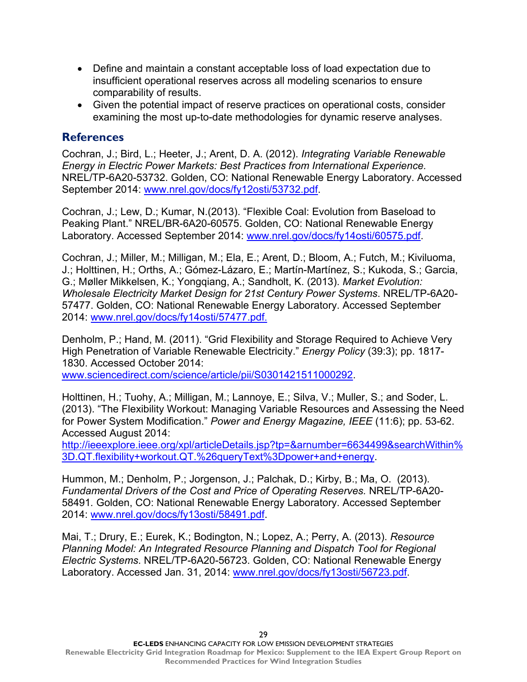- Define and maintain a constant acceptable loss of load expectation due to insufficient operational reserves across all modeling scenarios to ensure comparability of results.
- Given the potential impact of reserve practices on operational costs, consider examining the most up-to-date methodologies for dynamic reserve analyses.

#### <span id="page-33-0"></span>**References**

Cochran, J.; Bird, L.; Heeter, J.; Arent, D. A. (2012). *[Integrating Variable Renewable](http://www.nrel.gov/docs/fy12osti/53732.pdf)  [Energy in Electric Power Markets: Best Practices from International Experience.](http://www.nrel.gov/docs/fy12osti/53732.pdf)* NREL/TP-6A20-53732. Golden, CO: National Renewable Energy Laboratory. Accessed September 2014: [www.nrel.gov/docs/fy12osti/53732.pdf.](http://www.nrel.gov/docs/fy12osti/53732.pdf)

Cochran, J.; Lew, D.; Kumar, N.(2013). "Flexible Coal: Evolution from Baseload to Peaking Plant." NREL/BR-6A20-60575. Golden, CO: National Renewable Energy Laboratory. Accessed September 2014: [www.nrel.gov/docs/fy14osti/60575.pdf.](http://www.nrel.gov/docs/fy14osti/60575.pdf)

Cochran, J.; Miller, M.; Milligan, M.; Ela, E.; Arent, D.; Bloom, A.; Futch, M.; Kiviluoma, J.; Holttinen, H.; Orths, A.; Gómez-Lázaro, E.; Martín-Martínez, S.; Kukoda, S.; Garcia, G.; Møller Mikkelsen, K.; Yongqiang, A.; Sandholt, K. (2013). *Market Evolution: Wholesale Electricity Market Design for 21st Century Power Systems*. NREL/TP-6A20- 57477. Golden, CO: National Renewable Energy Laboratory. Accessed September 2014: www.nrel.gov/docs/fy14osti/57477.pdf.

Denholm, P.; Hand, M. (2011). "Grid Flexibility and Storage Required to Achieve Very High Penetration of Variable Renewable Electricity." *Energy Policy* (39:3); pp. 1817- 1830. Accessed October 2014:

[www.sciencedirect.com/science/article/pii/S0301421511000292.](http://www.sciencedirect.com/science/article/pii/S0301421511000292)

[Holttinen, H.;](http://ieeexplore.ieee.org/search/searchresult.jsp?searchWithin=p_Authors:.QT.Holttinen,%20H..QT.&newsearch=true) [Tuohy, A.;](http://ieeexplore.ieee.org/search/searchresult.jsp?searchWithin=p_Authors:.QT.Tuohy,%20A..QT.&newsearch=true) [Milligan, M.;](http://ieeexplore.ieee.org/search/searchresult.jsp?searchWithin=p_Authors:.QT.Milligan,%20M..QT.&newsearch=true) [Lannoye, E.;](http://ieeexplore.ieee.org/search/searchresult.jsp?searchWithin=p_Authors:.QT.Lannoye,%20E..QT.&newsearch=true) [Silva, V.;](http://ieeexplore.ieee.org/search/searchresult.jsp?searchWithin=p_Authors:.QT.Silva,%20V..QT.&newsearch=true) [Muller, S.;](http://ieeexplore.ieee.org/search/searchresult.jsp?searchWithin=p_Authors:.QT.Muller,%20S..QT.&newsearch=true) and [Soder, L.](http://ieeexplore.ieee.org/search/searchresult.jsp?searchWithin=p_Authors:.QT.Soder,%20L..QT.&newsearch=true) (2013). "The Flexibility Workout: Managing Variable Resources and Assessing the Need for Power System Modification." *Power and Energy Magazine, IEEE* (11:6); pp. 53-62. Accessed August 2014:

[http://ieeexplore.ieee.org/xpl/articleDetails.jsp?tp=&arnumber=6634499&searchWithin%](http://ieeexplore.ieee.org/xpl/articleDetails.jsp?tp=&arnumber=6634499&searchWithin%3D.QT.flexibility+workout.QT.%26queryText%3Dpower+and+energy) [3D.QT.flexibility+workout.QT.%26queryText%3Dpower+and+energy.](http://ieeexplore.ieee.org/xpl/articleDetails.jsp?tp=&arnumber=6634499&searchWithin%3D.QT.flexibility+workout.QT.%26queryText%3Dpower+and+energy)

Hummon, M.; Denholm, P.; Jorgenson, J.; Palchak, D.; Kirby, B.; Ma, O. (2013). *Fundamental Drivers of the Cost and Price of Operating Reserves.* NREL/TP-6A20- 58491*.* Golden, CO: National Renewable Energy Laboratory. Accessed September 2014: [www.nrel.gov/docs/fy13osti/58491.pdf.](http://www.nrel.gov/docs/fy13osti/58491.pdf)

Mai, T.; Drury, E.; Eurek, K.; Bodington, N.; Lopez, A.; Perry, A. (2013). *Resource Planning Model: An Integrated Resource Planning and Dispatch Tool for Regional Electric Systems*. NREL/TP-6A20-56723. Golden, CO: National Renewable Energy Laboratory. Accessed Jan. 31, 2014: [www.nrel.gov/docs/fy13osti/56723.pdf.](http://www.nrel.gov/docs/fy13osti/56723.pdf)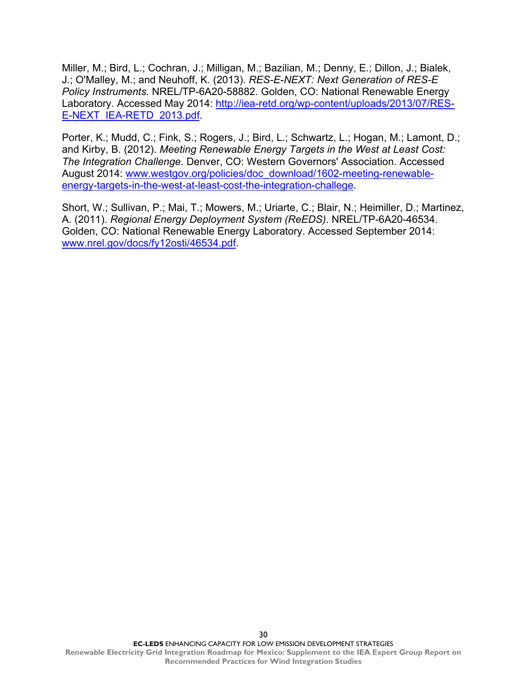Miller, M.; Bird, L.; Cochran, J.; Milligan, M.; Bazilian, M.; Denny, E.; Dillon, J.; Bialek, J.; O'Malley, M.; and Neuhoff, K. (2013). *RES-E-NEXT: Next Generation of RES-E Policy Instruments.* NREL/TP-6A20-58882. Golden, CO: National Renewable Energy Laboratory. Accessed May 2014: [http://iea-retd.org/wp-content/uploads/2013/07/RES-](http://iea-retd.org/wp-content/uploads/2013/07/RES-E-NEXT_IEA-RETD_2013.pdf)[E-NEXT\\_IEA-RETD\\_2013.pdf.](http://iea-retd.org/wp-content/uploads/2013/07/RES-E-NEXT_IEA-RETD_2013.pdf)

Porter, K.; Mudd, C.; Fink, S.; Rogers, J.; Bird, L.; Schwartz, L.; Hogan, M.; Lamont, D.; and Kirby, B. (2012). *Meeting Renewable Energy Targets in the West at Least Cost: The Integration Challenge*. Denver, CO: Western Governors' Association. Accessed August 2014: [www.westgov.org/policies/doc\\_download/1602-meeting-renewable](http://www.westgov.org/policies/doc_download/1602-meeting-renewable-energy-targets-in-the-west-at-least-cost-the-integration-challege)[energy-targets-in-the-west-at-least-cost-the-integration-challege.](http://www.westgov.org/policies/doc_download/1602-meeting-renewable-energy-targets-in-the-west-at-least-cost-the-integration-challege)

Short, W.; Sullivan, P.; Mai, T.; Mowers, M.; Uriarte, C.; Blair, N.; Heimiller, D.; Martinez, A. (2011). *Regional Energy Deployment System (ReEDS)*. NREL/TP-6A20-46534. Golden, CO: National Renewable Energy Laboratory. Accessed September 2014: [www.nrel.gov/docs/fy12osti/46534.pdf.](http://www.nrel.gov/docs/fy12osti/46534.pdf)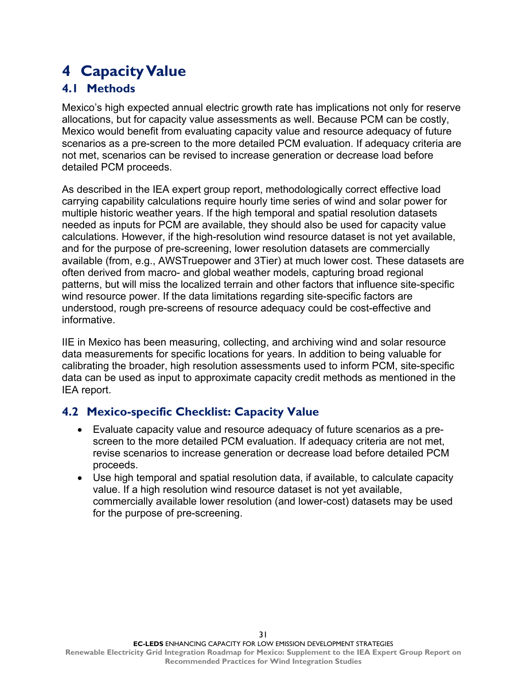# <span id="page-35-0"></span>**4 Capacity Value**

## <span id="page-35-1"></span>**4.1 Methods**

Mexico's high expected annual electric growth rate has implications not only for reserve allocations, but for capacity value assessments as well. Because PCM can be costly, Mexico would benefit from evaluating capacity value and resource adequacy of future scenarios as a pre-screen to the more detailed PCM evaluation. If adequacy criteria are not met, scenarios can be revised to increase generation or decrease load before detailed PCM proceeds.

As described in the IEA expert group report, methodologically correct effective load carrying capability calculations require hourly time series of wind and solar power for multiple historic weather years. If the high temporal and spatial resolution datasets needed as inputs for PCM are available, they should also be used for capacity value calculations. However, if the high-resolution wind resource dataset is not yet available, and for the purpose of pre-screening, lower resolution datasets are commercially available (from, e.g., AWSTruepower and 3Tier) at much lower cost. These datasets are often derived from macro- and global weather models, capturing broad regional patterns, but will miss the localized terrain and other factors that influence site-specific wind resource power. If the data limitations regarding site-specific factors are understood, rough pre-screens of resource adequacy could be cost-effective and informative.

IIE in Mexico has been measuring, collecting, and archiving wind and solar resource data measurements for specific locations for years. In addition to being valuable for calibrating the broader, high resolution assessments used to inform PCM, site-specific data can be used as input to approximate capacity credit methods as mentioned in the IEA report.

## <span id="page-35-2"></span>**4.2 Mexico-specific Checklist: Capacity Value**

- Evaluate capacity value and resource adequacy of future scenarios as a prescreen to the more detailed PCM evaluation. If adequacy criteria are not met, revise scenarios to increase generation or decrease load before detailed PCM proceeds.
- Use high temporal and spatial resolution data, if available, to calculate capacity value. If a high resolution wind resource dataset is not yet available, commercially available lower resolution (and lower-cost) datasets may be used for the purpose of pre-screening.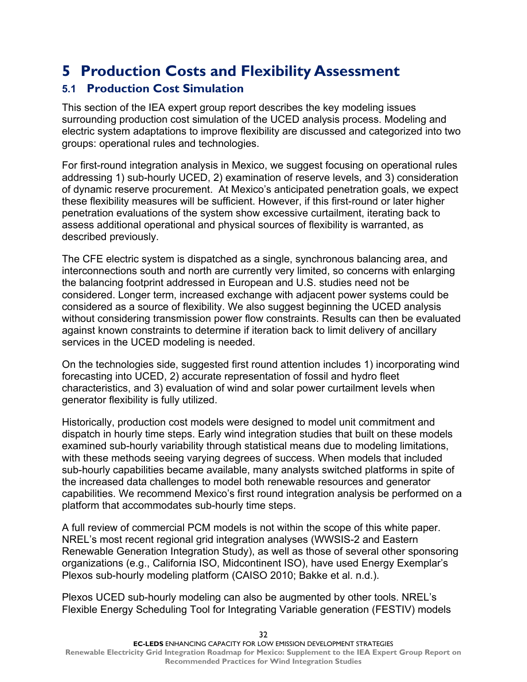# <span id="page-36-0"></span>**5 Production Costs and Flexibility Assessment**

### <span id="page-36-1"></span>**5.1 Production Cost Simulation**

This section of the IEA expert group report describes the key modeling issues surrounding production cost simulation of the UCED analysis process. Modeling and electric system adaptations to improve flexibility are discussed and categorized into two groups: operational rules and technologies.

For first-round integration analysis in Mexico, we suggest focusing on operational rules addressing 1) sub-hourly UCED, 2) examination of reserve levels, and 3) consideration of dynamic reserve procurement. At Mexico's anticipated penetration goals, we expect these flexibility measures will be sufficient. However, if this first-round or later higher penetration evaluations of the system show excessive curtailment, iterating back to assess additional operational and physical sources of flexibility is warranted, as described previously.

The CFE electric system is dispatched as a single, synchronous balancing area, and interconnections south and north are currently very limited, so concerns with enlarging the balancing footprint addressed in European and U.S. studies need not be considered. Longer term, increased exchange with adjacent power systems could be considered as a source of flexibility. We also suggest beginning the UCED analysis without considering transmission power flow constraints. Results can then be evaluated against known constraints to determine if iteration back to limit delivery of ancillary services in the UCED modeling is needed.

On the technologies side, suggested first round attention includes 1) incorporating wind forecasting into UCED, 2) accurate representation of fossil and hydro fleet characteristics, and 3) evaluation of wind and solar power curtailment levels when generator flexibility is fully utilized.

Historically, production cost models were designed to model unit commitment and dispatch in hourly time steps. Early wind integration studies that built on these models examined sub-hourly variability through statistical means due to modeling limitations, with these methods seeing varying degrees of success. When models that included sub-hourly capabilities became available, many analysts switched platforms in spite of the increased data challenges to model both renewable resources and generator capabilities. We recommend Mexico's first round integration analysis be performed on a platform that accommodates sub-hourly time steps.

A full review of commercial PCM models is not within the scope of this white paper. NREL's most recent regional grid integration analyses (WWSIS-2 and Eastern Renewable Generation Integration Study), as well as those of several other sponsoring organizations (e.g., California ISO, Midcontinent ISO), have used Energy Exemplar's Plexos sub-hourly modeling platform (CAISO 2010; Bakke et al. n.d.).

Plexos UCED sub-hourly modeling can also be augmented by other tools. NREL's Flexible Energy Scheduling Tool for Integrating Variable generation (FESTIV) models

32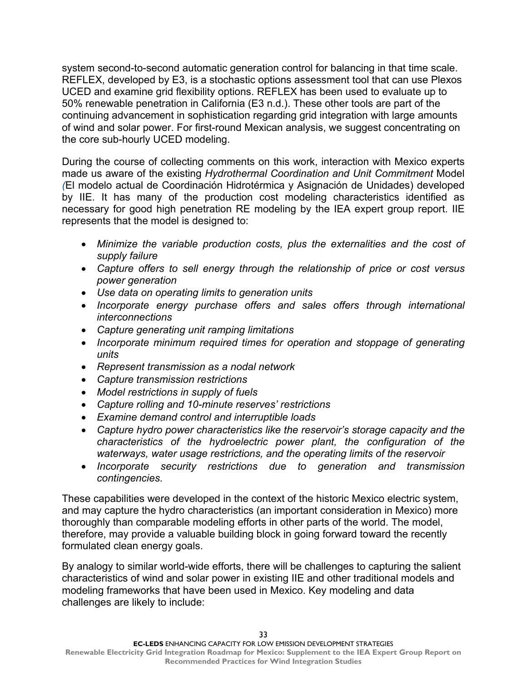system second-to-second automatic generation control for balancing in that time scale. REFLEX, developed by E3, is a stochastic options assessment tool that can use Plexos UCED and examine grid flexibility options. REFLEX has been used to evaluate up to 50% renewable penetration in California (E3 n.d.). These other tools are part of the continuing advancement in sophistication regarding grid integration with large amounts of wind and solar power. For first-round Mexican analysis, we suggest concentrating on the core sub-hourly UCED modeling.

During the course of collecting comments on this work, interaction with Mexico experts made us aware of the existing *Hydrothermal Coordination and Unit Commitment* Model *(*El modelo actual de Coordinación Hidrotérmica y Asignación de Unidades) developed by IIE. It has many of the production cost modeling characteristics identified as necessary for good high penetration RE modeling by the IEA expert group report. IIE represents that the model is designed to:

- *Minimize the variable production costs, plus the externalities and the cost of supply failure*
- *Capture offers to sell energy through the relationship of price or cost versus power generation*
- *Use data on operating limits to generation units*
- *Incorporate energy purchase offers and sales offers through international interconnections*
- *Capture generating unit ramping limitations*
- *Incorporate minimum required times for operation and stoppage of generating units*
- *Represent transmission as a nodal network*
- *Capture transmission restrictions*
- *Model restrictions in supply of fuels*
- *Capture rolling and 10-minute reserves' restrictions*
- *Examine demand control and interruptible loads*
- *Capture hydro power characteristics like the reservoir's storage capacity and the characteristics of the hydroelectric power plant, the configuration of the waterways, water usage restrictions, and the operating limits of the reservoir*
- *Incorporate security restrictions due to generation and transmission contingencies.*

These capabilities were developed in the context of the historic Mexico electric system, and may capture the hydro characteristics (an important consideration in Mexico) more thoroughly than comparable modeling efforts in other parts of the world. The model, therefore, may provide a valuable building block in going forward toward the recently formulated clean energy goals.

By analogy to similar world-wide efforts, there will be challenges to capturing the salient characteristics of wind and solar power in existing IIE and other traditional models and modeling frameworks that have been used in Mexico. Key modeling and data challenges are likely to include: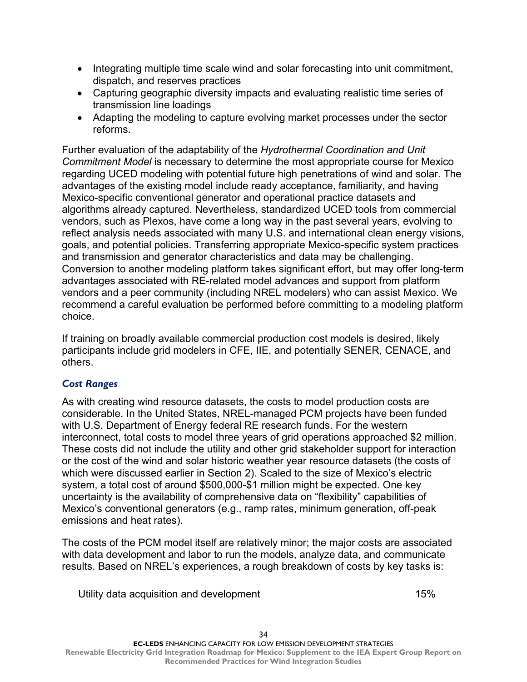- Integrating multiple time scale wind and solar forecasting into unit commitment, dispatch, and reserves practices
- Capturing geographic diversity impacts and evaluating realistic time series of transmission line loadings
- Adapting the modeling to capture evolving market processes under the sector reforms.

Further evaluation of the adaptability of the *Hydrothermal Coordination and Unit Commitment Model* is necessary to determine the most appropriate course for Mexico regarding UCED modeling with potential future high penetrations of wind and solar. The advantages of the existing model include ready acceptance, familiarity, and having Mexico-specific conventional generator and operational practice datasets and algorithms already captured. Nevertheless, standardized UCED tools from commercial vendors, such as Plexos, have come a long way in the past several years, evolving to reflect analysis needs associated with many U.S. and international clean energy visions, goals, and potential policies. Transferring appropriate Mexico-specific system practices and transmission and generator characteristics and data may be challenging. Conversion to another modeling platform takes significant effort, but may offer long-term advantages associated with RE-related model advances and support from platform vendors and a peer community (including NREL modelers) who can assist Mexico. We recommend a careful evaluation be performed before committing to a modeling platform choice.

If training on broadly available commercial production cost models is desired, likely participants include grid modelers in CFE, IIE, and potentially SENER, CENACE, and others.

#### *Cost Ranges*

As with creating wind resource datasets, the costs to model production costs are considerable. In the United States, NREL-managed PCM projects have been funded with U.S. Department of Energy federal RE research funds. For the western interconnect, total costs to model three years of grid operations approached \$2 million. These costs did not include the utility and other grid stakeholder support for interaction or the cost of the wind and solar historic weather year resource datasets (the costs of which were discussed earlier in Section 2). Scaled to the size of Mexico's electric system, a total cost of around \$500,000-\$1 million might be expected. One key uncertainty is the availability of comprehensive data on "flexibility" capabilities of Mexico's conventional generators (e.g., ramp rates, minimum generation, off-peak emissions and heat rates).

The costs of the PCM model itself are relatively minor; the major costs are associated with data development and labor to run the models, analyze data, and communicate results. Based on NREL's experiences, a rough breakdown of costs by key tasks is:

Utility data acquisition and development 15%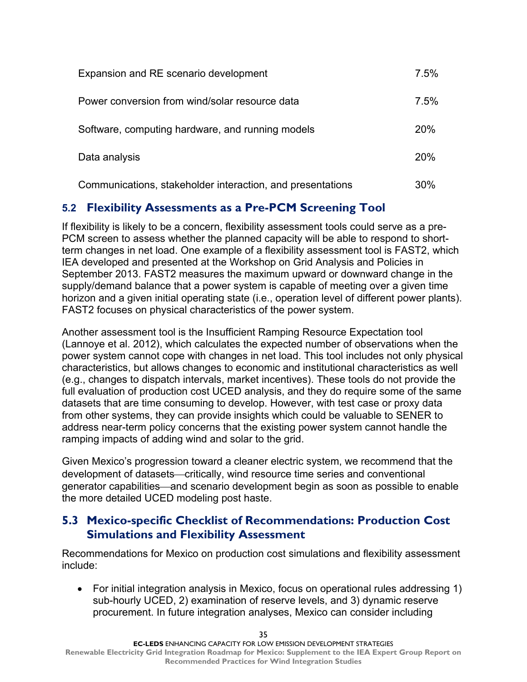| Expansion and RE scenario development                      | 7.5% |
|------------------------------------------------------------|------|
| Power conversion from wind/solar resource data             | 7.5% |
| Software, computing hardware, and running models           | 20%  |
| Data analysis                                              | 20%  |
| Communications, stakeholder interaction, and presentations | 30%  |

### <span id="page-39-0"></span>**5.2 Flexibility Assessments as a Pre-PCM Screening Tool**

If flexibility is likely to be a concern, flexibility assessment tools could serve as a pre-PCM screen to assess whether the planned capacity will be able to respond to shortterm changes in net load. One example of a flexibility assessment tool is FAST2, which IEA developed and presented at the Workshop on Grid Analysis and Policies in September 2013. FAST2 measures the maximum upward or downward change in the supply/demand balance that a power system is capable of meeting over a given time horizon and a given initial operating state (i.e., operation level of different power plants). FAST2 focuses on physical characteristics of the power system.

Another assessment tool is the Insufficient Ramping Resource Expectation tool (Lannoye et al. 2012), which calculates the expected number of observations when the power system cannot cope with changes in net load. This tool includes not only physical characteristics, but allows changes to economic and institutional characteristics as well (e.g., changes to dispatch intervals, market incentives). These tools do not provide the full evaluation of production cost UCED analysis, and they do require some of the same datasets that are time consuming to develop. However, with test case or proxy data from other systems, they can provide insights which could be valuable to SENER to address near-term policy concerns that the existing power system cannot handle the ramping impacts of adding wind and solar to the grid.

Given Mexico's progression toward a cleaner electric system, we recommend that the development of datasets—critically, wind resource time series and conventional generator capabilities—and scenario development begin as soon as possible to enable the more detailed UCED modeling post haste.

### <span id="page-39-1"></span>**5.3 Mexico-specific Checklist of Recommendations: Production Cost Simulations and Flexibility Assessment**

Recommendations for Mexico on production cost simulations and flexibility assessment include:

• For initial integration analysis in Mexico, focus on operational rules addressing 1) sub-hourly UCED, 2) examination of reserve levels, and 3) dynamic reserve procurement. In future integration analyses, Mexico can consider including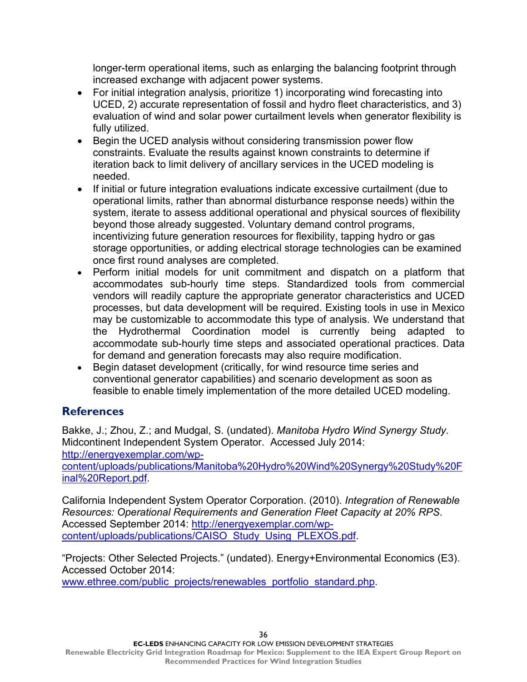longer-term operational items, such as enlarging the balancing footprint through increased exchange with adjacent power systems.

- For initial integration analysis, prioritize 1) incorporating wind forecasting into UCED, 2) accurate representation of fossil and hydro fleet characteristics, and 3) evaluation of wind and solar power curtailment levels when generator flexibility is fully utilized.
- Begin the UCED analysis without considering transmission power flow constraints. Evaluate the results against known constraints to determine if iteration back to limit delivery of ancillary services in the UCED modeling is needed.
- If initial or future integration evaluations indicate excessive curtailment (due to operational limits, rather than abnormal disturbance response needs) within the system, iterate to assess additional operational and physical sources of flexibility beyond those already suggested. Voluntary demand control programs, incentivizing future generation resources for flexibility, tapping hydro or gas storage opportunities, or adding electrical storage technologies can be examined once first round analyses are completed.
- Perform initial models for unit commitment and dispatch on a platform that accommodates sub-hourly time steps. Standardized tools from commercial vendors will readily capture the appropriate generator characteristics and UCED processes, but data development will be required. Existing tools in use in Mexico may be customizable to accommodate this type of analysis. We understand that the Hydrothermal Coordination model is currently being adapted to accommodate sub-hourly time steps and associated operational practices. Data for demand and generation forecasts may also require modification.
- Begin dataset development (critically, for wind resource time series and conventional generator capabilities) and scenario development as soon as feasible to enable timely implementation of the more detailed UCED modeling.

### <span id="page-40-0"></span>**References**

Bakke, J.; Zhou, Z.; and Mudgal, S. (undated). *Manitoba Hydro Wind Synergy Study*. Midcontinent Independent System Operator. Accessed July 2014: [http://energyexemplar.com/wp-](http://energyexemplar.com/wp-content/uploads/publications/Manitoba%20Hydro%20Wind%20Synergy%20Study%20Final%20Report.pdf)

[content/uploads/publications/Manitoba%20Hydro%20Wind%20Synergy%20Study%20F](http://energyexemplar.com/wp-content/uploads/publications/Manitoba%20Hydro%20Wind%20Synergy%20Study%20Final%20Report.pdf) [inal%20Report.pdf.](http://energyexemplar.com/wp-content/uploads/publications/Manitoba%20Hydro%20Wind%20Synergy%20Study%20Final%20Report.pdf)

California Independent System Operator Corporation. (2010). *Integration of Renewable Resources: Operational Requirements and Generation Fleet Capacity at 20% RPS*. Accessed September 2014: [http://energyexemplar.com/wp](http://energyexemplar.com/wp-content/uploads/publications/CAISO_Study_Using_PLEXOS.pdf)[content/uploads/publications/CAISO\\_Study\\_Using\\_PLEXOS.pdf.](http://energyexemplar.com/wp-content/uploads/publications/CAISO_Study_Using_PLEXOS.pdf)

"Projects: Other Selected Projects." (undated). Energy+Environmental Economics (E3). Accessed October 2014:

[www.ethree.com/public\\_projects/renewables\\_portfolio\\_standard.php.](http://www.ethree.com/public_projects/renewables_portfolio_standard.php)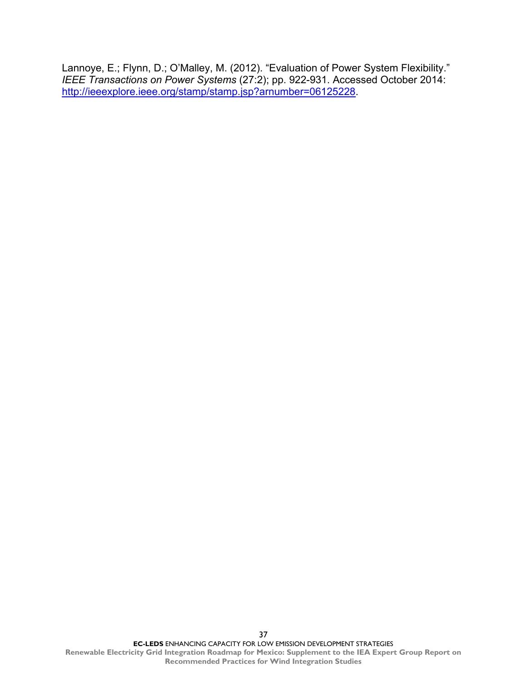Lannoye, E.; Flynn, D.; O'Malley, M. (2012). "Evaluation of Power System Flexibility." *IEEE Transactions on Power Systems* (27:2); pp. 922-931. Accessed October 2014: [http://ieeexplore.ieee.org/stamp/stamp.jsp?arnumber=06125228.](http://ieeexplore.ieee.org/stamp/stamp.jsp?arnumber=06125228)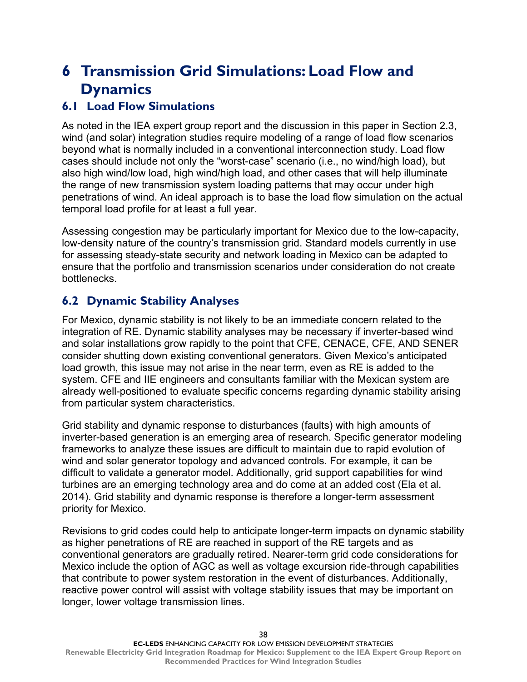# <span id="page-42-0"></span>**6 Transmission Grid Simulations: Load Flow and Dynamics**

### <span id="page-42-1"></span>**6.1 Load Flow Simulations**

As noted in the IEA expert group report and the discussion in this paper in Section 2.3, wind (and solar) integration studies require modeling of a range of load flow scenarios beyond what is normally included in a conventional interconnection study. Load flow cases should include not only the "worst-case" scenario (i.e., no wind/high load), but also high wind/low load, high wind/high load, and other cases that will help illuminate the range of new transmission system loading patterns that may occur under high penetrations of wind. An ideal approach is to base the load flow simulation on the actual temporal load profile for at least a full year.

Assessing congestion may be particularly important for Mexico due to the low-capacity, low-density nature of the country's transmission grid. Standard models currently in use for assessing steady-state security and network loading in Mexico can be adapted to ensure that the portfolio and transmission scenarios under consideration do not create bottlenecks.

### <span id="page-42-2"></span>**6.2 Dynamic Stability Analyses**

For Mexico, dynamic stability is not likely to be an immediate concern related to the integration of RE. Dynamic stability analyses may be necessary if inverter-based wind and solar installations grow rapidly to the point that CFE, CENACE, CFE, AND SENER consider shutting down existing conventional generators. Given Mexico's anticipated load growth, this issue may not arise in the near term, even as RE is added to the system. CFE and IIE engineers and consultants familiar with the Mexican system are already well-positioned to evaluate specific concerns regarding dynamic stability arising from particular system characteristics.

Grid stability and dynamic response to disturbances (faults) with high amounts of inverter-based generation is an emerging area of research. Specific generator modeling frameworks to analyze these issues are difficult to maintain due to rapid evolution of wind and solar generator topology and advanced controls. For example, it can be difficult to validate a generator model. Additionally, grid support capabilities for wind turbines are an emerging technology area and do come at an added cost (Ela et al. 2014). Grid stability and dynamic response is therefore a longer-term assessment priority for Mexico.

Revisions to grid codes could help to anticipate longer-term impacts on dynamic stability as higher penetrations of RE are reached in support of the RE targets and as conventional generators are gradually retired. Nearer-term grid code considerations for Mexico include the option of AGC as well as voltage excursion ride-through capabilities that contribute to power system restoration in the event of disturbances. Additionally, reactive power control will assist with voltage stability issues that may be important on longer, lower voltage transmission lines.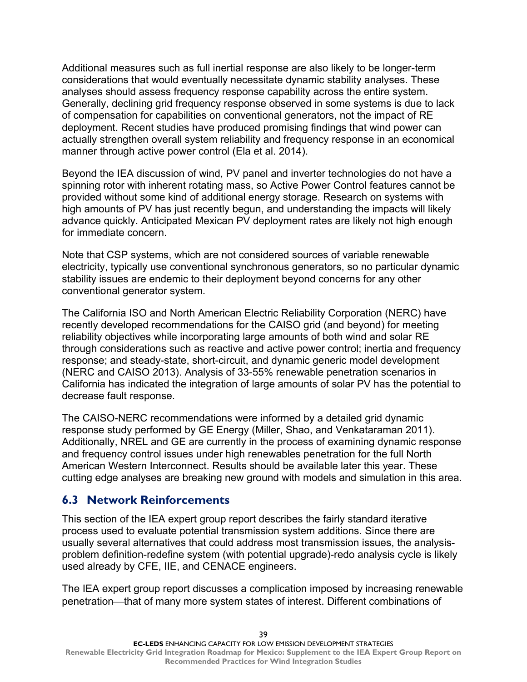Additional measures such as full inertial response are also likely to be longer-term considerations that would eventually necessitate dynamic stability analyses. These analyses should assess frequency response capability across the entire system. Generally, declining grid frequency response observed in some systems is due to lack of compensation for capabilities on conventional generators, not the impact of RE deployment. Recent studies have produced promising findings that wind power can actually strengthen overall system reliability and frequency response in an economical manner through active power control (Ela et al. 2014).

Beyond the IEA discussion of wind, PV panel and inverter technologies do not have a spinning rotor with inherent rotating mass, so Active Power Control features cannot be provided without some kind of additional energy storage. Research on systems with high amounts of PV has just recently begun, and understanding the impacts will likely advance quickly. Anticipated Mexican PV deployment rates are likely not high enough for immediate concern.

Note that CSP systems, which are not considered sources of variable renewable electricity, typically use conventional synchronous generators, so no particular dynamic stability issues are endemic to their deployment beyond concerns for any other conventional generator system.

The California ISO and North American Electric Reliability Corporation (NERC) have recently developed recommendations for the CAISO grid (and beyond) for meeting reliability objectives while incorporating large amounts of both wind and solar RE through considerations such as reactive and active power control; inertia and frequency response; and steady-state, short-circuit, and dynamic generic model development (NERC and CAISO 2013). Analysis of 33-55% renewable penetration scenarios in California has indicated the integration of large amounts of solar PV has the potential to decrease fault response.

The CAISO-NERC recommendations were informed by a detailed grid dynamic response study performed by GE Energy (Miller, Shao, and Venkataraman 2011). Additionally, NREL and GE are currently in the process of examining dynamic response and frequency control issues under high renewables penetration for the full North American Western Interconnect. Results should be available later this year. These cutting edge analyses are breaking new ground with models and simulation in this area.

#### <span id="page-43-0"></span>**6.3 Network Reinforcements**

This section of the IEA expert group report describes the fairly standard iterative process used to evaluate potential transmission system additions. Since there are usually several alternatives that could address most transmission issues, the analysisproblem definition-redefine system (with potential upgrade)-redo analysis cycle is likely used already by CFE, IIE, and CENACE engineers.

The IEA expert group report discusses a complication imposed by increasing renewable penetration—that of many more system states of interest. Different combinations of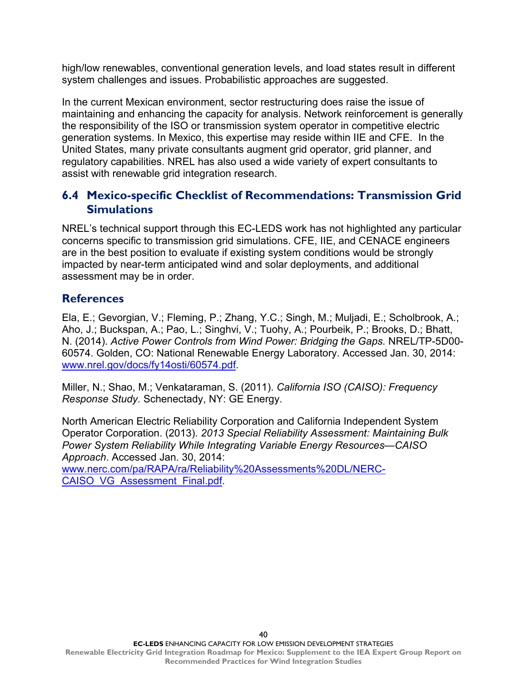high/low renewables, conventional generation levels, and load states result in different system challenges and issues. Probabilistic approaches are suggested.

In the current Mexican environment, sector restructuring does raise the issue of maintaining and enhancing the capacity for analysis. Network reinforcement is generally the responsibility of the ISO or transmission system operator in competitive electric generation systems. In Mexico, this expertise may reside within IIE and CFE. In the United States, many private consultants augment grid operator, grid planner, and regulatory capabilities. NREL has also used a wide variety of expert consultants to assist with renewable grid integration research.

### <span id="page-44-0"></span>**6.4 Mexico-specific Checklist of Recommendations: Transmission Grid Simulations**

NREL's technical support through this EC-LEDS work has not highlighted any particular concerns specific to transmission grid simulations. CFE, IIE, and CENACE engineers are in the best position to evaluate if existing system conditions would be strongly impacted by near-term anticipated wind and solar deployments, and additional assessment may be in order.

#### **References**

Ela, E.; Gevorgian, V.; Fleming, P.; Zhang, Y.C.; Singh, M.; Muljadi, E.; Scholbrook, A.; Aho, J.; Buckspan, A.; Pao, L.; Singhvi, V.; Tuohy, A.; Pourbeik, P.; Brooks, D.; Bhatt, N. (2014). *Active Power Controls from Wind Power: Bridging the Gaps.* NREL/TP-5D00- 60574. Golden, CO: National Renewable Energy Laboratory. Accessed Jan. 30, 2014: [www.nrel.gov/docs/fy14osti/60574.pdf.](http://www.nrel.gov/docs/fy14osti/60574.pdf)

Miller, N.; Shao, M.; Venkataraman, S. (2011). *California ISO (CAISO): Frequency Response Study.* Schenectady, NY: GE Energy.

North American Electric Reliability Corporation and California Independent System Operator Corporation. (2013). *2013 Special Reliability Assessment: Maintaining Bulk Power System Reliability While Integrating Variable Energy Resources—CAISO Approach*. Accessed Jan. 30, 2014:

[www.nerc.com/pa/RAPA/ra/Reliability%20Assessments%20DL/NERC-](http://www.nerc.com/pa/RAPA/ra/Reliability%20Assessments%20DL/NERC-CAISO_VG_Assessment_Final.pdf)CAISO\_VG\_Assessment\_Final.pdf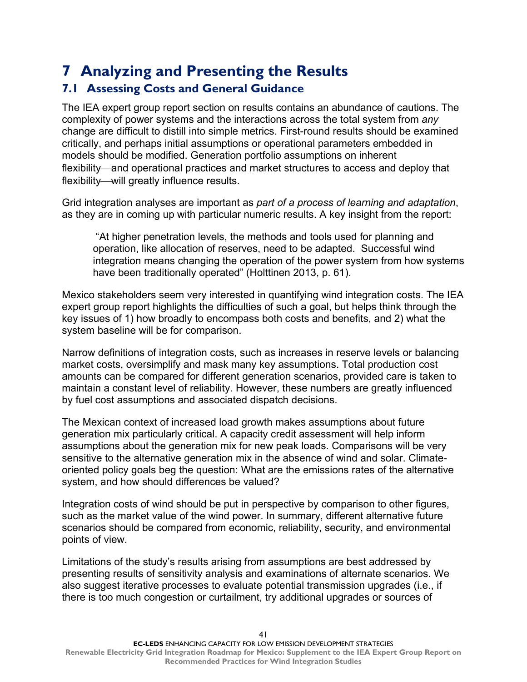# <span id="page-45-0"></span>**7 Analyzing and Presenting the Results**

## <span id="page-45-1"></span>**7.1 Assessing Costs and General Guidance**

The IEA expert group report section on results contains an abundance of cautions. The complexity of power systems and the interactions across the total system from *any* change are difficult to distill into simple metrics. First-round results should be examined critically, and perhaps initial assumptions or operational parameters embedded in models should be modified. Generation portfolio assumptions on inherent flexibility—and operational practices and market structures to access and deploy that flexibility—will greatly influence results.

Grid integration analyses are important as *part of a process of learning and adaptation*, as they are in coming up with particular numeric results. A key insight from the report:

"At higher penetration levels, the methods and tools used for planning and operation, like allocation of reserves, need to be adapted. Successful wind integration means changing the operation of the power system from how systems have been traditionally operated" (Holttinen 2013, p. 61).

Mexico stakeholders seem very interested in quantifying wind integration costs. The IEA expert group report highlights the difficulties of such a goal, but helps think through the key issues of 1) how broadly to encompass both costs and benefits, and 2) what the system baseline will be for comparison.

Narrow definitions of integration costs, such as increases in reserve levels or balancing market costs, oversimplify and mask many key assumptions. Total production cost amounts can be compared for different generation scenarios, provided care is taken to maintain a constant level of reliability. However, these numbers are greatly influenced by fuel cost assumptions and associated dispatch decisions.

The Mexican context of increased load growth makes assumptions about future generation mix particularly critical. A capacity credit assessment will help inform assumptions about the generation mix for new peak loads. Comparisons will be very sensitive to the alternative generation mix in the absence of wind and solar. Climateoriented policy goals beg the question: What are the emissions rates of the alternative system, and how should differences be valued?

Integration costs of wind should be put in perspective by comparison to other figures, such as the market value of the wind power. In summary, different alternative future scenarios should be compared from economic, reliability, security, and environmental points of view.

Limitations of the study's results arising from assumptions are best addressed by presenting results of sensitivity analysis and examinations of alternate scenarios. We also suggest iterative processes to evaluate potential transmission upgrades (i.e., if there is too much congestion or curtailment, try additional upgrades or sources of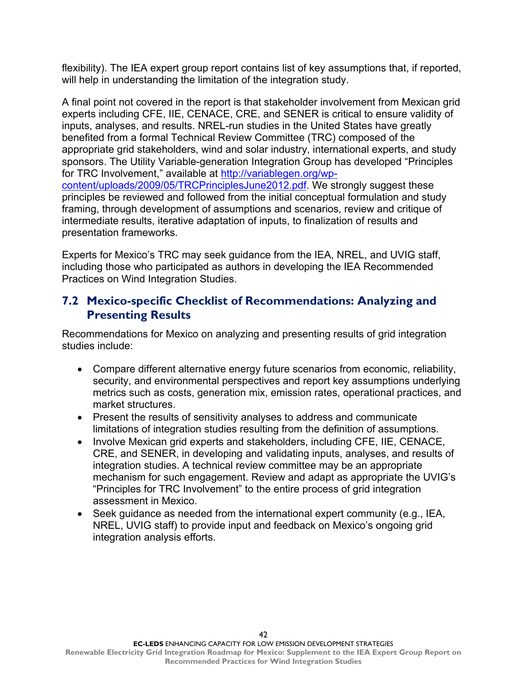flexibility). The IEA expert group report contains list of key assumptions that, if reported, will help in understanding the limitation of the integration study.

A final point not covered in the report is that stakeholder involvement from Mexican grid experts including CFE, IIE, CENACE, CRE, and SENER is critical to ensure validity of inputs, analyses, and results. NREL-run studies in the United States have greatly benefited from a formal Technical Review Committee (TRC) composed of the appropriate grid stakeholders, wind and solar industry, international experts, and study sponsors. The Utility Variable-generation Integration Group has developed "Principles for TRC Involvement," available at [http://variablegen.org/wp](http://variablegen.org/wp-content/uploads/2009/05/TRCPrinciplesJune2012.pdf)[content/uploads/2009/05/TRCPrinciplesJune2012.pdf.](http://variablegen.org/wp-content/uploads/2009/05/TRCPrinciplesJune2012.pdf) We strongly suggest these principles be reviewed and followed from the initial conceptual formulation and study framing, through development of assumptions and scenarios, review and critique of intermediate results, iterative adaptation of inputs, to finalization of results and presentation frameworks.

Experts for Mexico's TRC may seek guidance from the IEA, NREL, and UVIG staff, including those who participated as authors in developing the IEA Recommended Practices on Wind Integration Studies.

#### <span id="page-46-0"></span>**7.2 Mexico-specific Checklist of Recommendations: Analyzing and Presenting Results**

Recommendations for Mexico on analyzing and presenting results of grid integration studies include:

- Compare different alternative energy future scenarios from economic, reliability, security, and environmental perspectives and report key assumptions underlying metrics such as costs, generation mix, emission rates, operational practices, and market structures.
- Present the results of sensitivity analyses to address and communicate limitations of integration studies resulting from the definition of assumptions.
- Involve Mexican grid experts and stakeholders, including CFE, IIE, CENACE, CRE, and SENER, in developing and validating inputs, analyses, and results of integration studies. A technical review committee may be an appropriate mechanism for such engagement. Review and adapt as appropriate the UVIG's "Principles for TRC Involvement" to the entire process of grid integration assessment in Mexico.
- Seek guidance as needed from the international expert community (e.g., IEA, NREL, UVIG staff) to provide input and feedback on Mexico's ongoing grid integration analysis efforts.